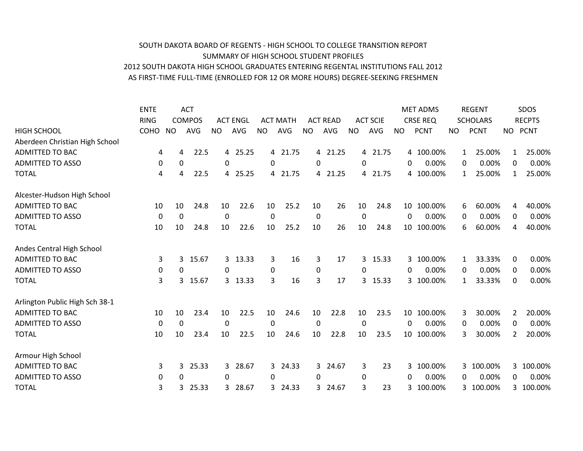## SOUTH DAKOTA BOARD OF REGENTS - HIGH SCHOOL TO COLLEGE TRANSITION REPORT SUMMARY OF HIGH SCHOOL STUDENT PROFILES 2012 SOUTH DAKOTA HIGH SCHOOL GRADUATES ENTERING REGENTAL INSTITUTIONS FALL 2012 AS FIRST-TIME FULL-TIME (ENROLLED FOR 12 OR MORE HOURS) DEGREE-SEEKING FRESHMEN

|                                | <b>ENTE</b>    |             | <b>ACT</b>    |              |                 |              |                 |                  |                 |              |                 |           | <b>MET ADMS</b> |              | <b>REGENT</b>   |                | SDOS          |
|--------------------------------|----------------|-------------|---------------|--------------|-----------------|--------------|-----------------|------------------|-----------------|--------------|-----------------|-----------|-----------------|--------------|-----------------|----------------|---------------|
|                                | <b>RING</b>    |             | <b>COMPOS</b> |              | <b>ACT ENGL</b> |              | <b>ACT MATH</b> |                  | <b>ACT READ</b> |              | <b>ACT SCIE</b> |           | <b>CRSE REQ</b> |              | <b>SCHOLARS</b> |                | <b>RECPTS</b> |
| <b>HIGH SCHOOL</b>             | COHO           | <b>NO</b>   | <b>AVG</b>    | <b>NO</b>    | <b>AVG</b>      | <b>NO</b>    | AVG             | <b>NO</b>        | <b>AVG</b>      | <b>NO</b>    | <b>AVG</b>      | <b>NO</b> | <b>PCNT</b>     | <b>NO</b>    | <b>PCNT</b>     | NO             | <b>PCNT</b>   |
| Aberdeen Christian High School |                |             |               |              |                 |              |                 |                  |                 |              |                 |           |                 |              |                 |                |               |
| <b>ADMITTED TO BAC</b>         | 4              | 4           | 22.5          | 4            | 25.25           |              | 4 21.75         | $\overline{4}$   | 21.25           |              | 4 21.75         |           | 4 100.00%       | 1            | 25.00%          | 1              | 25.00%        |
| <b>ADMITTED TO ASSO</b>        | 0              | $\mathbf 0$ |               | $\mathbf 0$  |                 | $\Omega$     |                 | 0                |                 | $\mathbf{0}$ |                 | $\Omega$  | 0.00%           | $\Omega$     | 0.00%           | 0              | 0.00%         |
| <b>TOTAL</b>                   | 4              | 4           | 22.5          | 4            | 25.25           |              | 4 21.75         | 4                | 21.25           |              | 4 21.75         |           | 4 100.00%       | $\mathbf{1}$ | 25.00%          | 1              | 25.00%        |
| Alcester-Hudson High School    |                |             |               |              |                 |              |                 |                  |                 |              |                 |           |                 |              |                 |                |               |
| <b>ADMITTED TO BAC</b>         | 10             | 10          | 24.8          | 10           | 22.6            | 10           | 25.2            | 10               | 26              | 10           | 24.8            |           | 10 100.00%      | 6            | 60.00%          | 4              | 40.00%        |
| <b>ADMITTED TO ASSO</b>        | $\mathbf 0$    | 0           |               | 0            |                 | $\mathbf{0}$ |                 | $\boldsymbol{0}$ |                 | $\mathbf 0$  |                 | $\Omega$  | 0.00%           | 0            | 0.00%           | 0              | 0.00%         |
| <b>TOTAL</b>                   | 10             | 10          | 24.8          | 10           | 22.6            | 10           | 25.2            | 10               | 26              | 10           | 24.8            |           | 10 100.00%      | 6            | 60.00%          | 4              | 40.00%        |
| Andes Central High School      |                |             |               |              |                 |              |                 |                  |                 |              |                 |           |                 |              |                 |                |               |
| <b>ADMITTED TO BAC</b>         | $\overline{3}$ | 3           | 15.67         | $\mathbf{3}$ | 13.33           | 3            | 16              | 3                | 17              | 3            | 15.33           |           | 3 100.00%       | 1            | 33.33%          | $\mathbf 0$    | 0.00%         |
| <b>ADMITTED TO ASSO</b>        | 0              | 0           |               | 0            |                 | 0            |                 | 0                |                 | 0            |                 | $\Omega$  | 0.00%           | 0            | 0.00%           | $\mathbf 0$    | 0.00%         |
| <b>TOTAL</b>                   | 3              | 3           | 15.67         |              | 3 13.33         | 3            | 16              | $\overline{3}$   | 17              |              | 3 15.33         |           | 3 100.00%       | 1            | 33.33%          | $\Omega$       | 0.00%         |
| Arlington Public High Sch 38-1 |                |             |               |              |                 |              |                 |                  |                 |              |                 |           |                 |              |                 |                |               |
| <b>ADMITTED TO BAC</b>         | 10             | 10          | 23.4          | 10           | 22.5            | 10           | 24.6            | 10               | 22.8            | 10           | 23.5            |           | 10 100.00%      | 3.           | 30.00%          | $\overline{2}$ | 20.00%        |
| <b>ADMITTED TO ASSO</b>        | 0              | 0           |               | 0            |                 | $\mathbf 0$  |                 | 0                |                 | $\mathbf 0$  |                 | $\Omega$  | 0.00%           | 0            | 0.00%           | 0              | 0.00%         |
| <b>TOTAL</b>                   | 10             | 10          | 23.4          | 10           | 22.5            | 10           | 24.6            | 10               | 22.8            | 10           | 23.5            |           | 10 100.00%      | 3            | 30.00%          | 2              | 20.00%        |
| Armour High School             |                |             |               |              |                 |              |                 |                  |                 |              |                 |           |                 |              |                 |                |               |
| <b>ADMITTED TO BAC</b>         | 3              | 3           | 25.33         | 3            | 28.67           | $\mathbf{3}$ | 24.33           | 3                | 24.67           | 3            | 23              | 3         | 100.00%         |              | 3 100.00%       | 3              | 100.00%       |
| <b>ADMITTED TO ASSO</b>        | 0              | 0           |               | $\Omega$     |                 | 0            |                 | $\Omega$         |                 | $\mathbf 0$  |                 | 0         | 0.00%           | 0            | 0.00%           | 0              | 0.00%         |
| <b>TOTAL</b>                   | 3              | 3           | 25.33         | 3            | 28.67           | 3            | 24.33           | 3.               | 24.67           | 3            | 23              | 3.        | 100.00%         |              | 3 100.00%       |                | 3 100.00%     |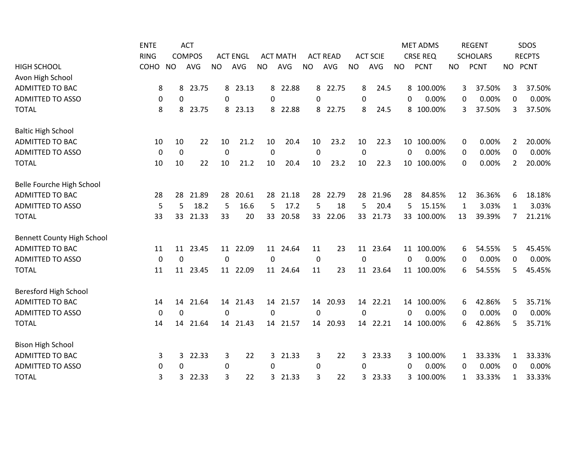|                                   | <b>ENTE</b> |                  | <b>ACT</b>    |             |                 |              |                 |                 |                 |                  |                 |           | <b>MET ADMS</b> |           | <b>REGENT</b>   |                  | SDOS          |
|-----------------------------------|-------------|------------------|---------------|-------------|-----------------|--------------|-----------------|-----------------|-----------------|------------------|-----------------|-----------|-----------------|-----------|-----------------|------------------|---------------|
|                                   | <b>RING</b> |                  | <b>COMPOS</b> |             | <b>ACT ENGL</b> |              | <b>ACT MATH</b> |                 | <b>ACT READ</b> |                  | <b>ACT SCIE</b> |           | <b>CRSE REQ</b> |           | <b>SCHOLARS</b> |                  | <b>RECPTS</b> |
| <b>HIGH SCHOOL</b>                | COHO        | <b>NO</b>        | <b>AVG</b>    | <b>NO</b>   | AVG             | <b>NO</b>    | <b>AVG</b>      | <b>NO</b>       | AVG             | <b>NO</b>        | AVG             | <b>NO</b> | <b>PCNT</b>     | <b>NO</b> | <b>PCNT</b>     | <b>NO</b>        | <b>PCNT</b>   |
| Avon High School                  |             |                  |               |             |                 |              |                 |                 |                 |                  |                 |           |                 |           |                 |                  |               |
| <b>ADMITTED TO BAC</b>            | 8           | 8                | 23.75         | 8           | 23.13           | 8            | 22.88           | 8               | 22.75           | 8                | 24.5            |           | 8 100.00%       | 3         | 37.50%          | 3                | 37.50%        |
| <b>ADMITTED TO ASSO</b>           | 0           | $\Omega$         |               | $\Omega$    |                 | 0            |                 | $\Omega$        |                 | $\boldsymbol{0}$ |                 | $\Omega$  | 0.00%           | 0         | 0.00%           | 0                | 0.00%         |
| <b>TOTAL</b>                      | 8           | 8                | 23.75         | 8           | 23.13           | 8            | 22.88           | 8               | 22.75           | 8                | 24.5            |           | 8 100.00%       | 3         | 37.50%          | 3                | 37.50%        |
| <b>Baltic High School</b>         |             |                  |               |             |                 |              |                 |                 |                 |                  |                 |           |                 |           |                 |                  |               |
| ADMITTED TO BAC                   | 10          | 10               | 22            | 10          | 21.2            | 10           | 20.4            | 10              | 23.2            | 10               | 22.3            |           | 10 100.00%      | 0         | 0.00%           | 2                | 20.00%        |
| <b>ADMITTED TO ASSO</b>           | $\mathbf 0$ | $\boldsymbol{0}$ |               | 0           |                 | 0            |                 | $\pmb{0}$       |                 | $\mathbf 0$      |                 | 0         | 0.00%           | 0         | 0.00%           | 0                | 0.00%         |
| <b>TOTAL</b>                      | 10          | 10               | 22            | 10          | 21.2            | 10           | 20.4            | 10              | 23.2            | 10               | 22.3            |           | 10 100.00%      | 0         | 0.00%           | 2                | 20.00%        |
| Belle Fourche High School         |             |                  |               |             |                 |              |                 |                 |                 |                  |                 |           |                 |           |                 |                  |               |
| <b>ADMITTED TO BAC</b>            | 28          | 28               | 21.89         | 28          | 20.61           | 28           | 21.18           | 28              | 22.79           | 28               | 21.96           | 28        | 84.85%          | 12        | 36.36%          | 6                | 18.18%        |
| <b>ADMITTED TO ASSO</b>           | 5           | 5                | 18.2          | 5           | 16.6            | 5            | 17.2            | 5               | 18              | 5                | 20.4            | 5         | 15.15%          | 1         | 3.03%           | 1                | 3.03%         |
| <b>TOTAL</b>                      | 33          | 33               | 21.33         | 33          | 20              | 33           | 20.58           | 33 <sup>2</sup> | 22.06           |                  | 33 21.73        |           | 33 100.00%      | 13        | 39.39%          | 7                | 21.21%        |
| <b>Bennett County High School</b> |             |                  |               |             |                 |              |                 |                 |                 |                  |                 |           |                 |           |                 |                  |               |
| <b>ADMITTED TO BAC</b>            | 11          |                  | 11 23.45      |             | 11 22.09        |              | 11 24.64        | 11              | 23              |                  | 11 23.64        |           | 11 100.00%      | 6         | 54.55%          | 5                | 45.45%        |
| <b>ADMITTED TO ASSO</b>           | $\pmb{0}$   | $\mathbf 0$      |               | $\mathbf 0$ |                 | 0            |                 | $\pmb{0}$       |                 | $\mathbf 0$      |                 | 0         | 0.00%           | 0         | 0.00%           | $\boldsymbol{0}$ | 0.00%         |
| <b>TOTAL</b>                      | 11          | 11               | 23.45         | 11          | 22.09           | 11           | 24.64           | 11              | 23              | 11               | 23.64           |           | 11 100.00%      | 6         | 54.55%          | 5                | 45.45%        |
| Beresford High School             |             |                  |               |             |                 |              |                 |                 |                 |                  |                 |           |                 |           |                 |                  |               |
| <b>ADMITTED TO BAC</b>            | 14          | 14               | 21.64         |             | 14 21.43        | 14           | 21.57           | 14              | 20.93           |                  | 14 22.21        |           | 14 100.00%      | 6         | 42.86%          | 5                | 35.71%        |
| <b>ADMITTED TO ASSO</b>           | 0           | 0                |               | $\Omega$    |                 | $\mathbf{0}$ |                 | 0               |                 | 0                |                 | $\Omega$  | 0.00%           | 0         | 0.00%           | 0                | 0.00%         |
| <b>TOTAL</b>                      | 14          | 14               | 21.64         | 14          | 21.43           | 14           | 21.57           | 14              | 20.93           | 14               | 22.21           |           | 14 100.00%      | 6         | 42.86%          | 5                | 35.71%        |
| <b>Bison High School</b>          |             |                  |               |             |                 |              |                 |                 |                 |                  |                 |           |                 |           |                 |                  |               |
| <b>ADMITTED TO BAC</b>            | 3           | 3                | 22.33         | 3           | 22              | 3            | 21.33           | 3               | 22              | 3                | 23.33           |           | 3 100.00%       | 1         | 33.33%          | 1                | 33.33%        |
| <b>ADMITTED TO ASSO</b>           | 0           | $\mathbf{0}$     |               | $\Omega$    |                 | 0            |                 | 0               |                 | 0                |                 | 0         | 0.00%           | 0         | 0.00%           | 0                | 0.00%         |
| <b>TOTAL</b>                      | 3           | 3                | 22.33         | 3           | 22              | 3            | 21.33           | 3               | 22              | 3                | 23.33           |           | 3 100.00%       | 1         | 33.33%          | 1                | 33.33%        |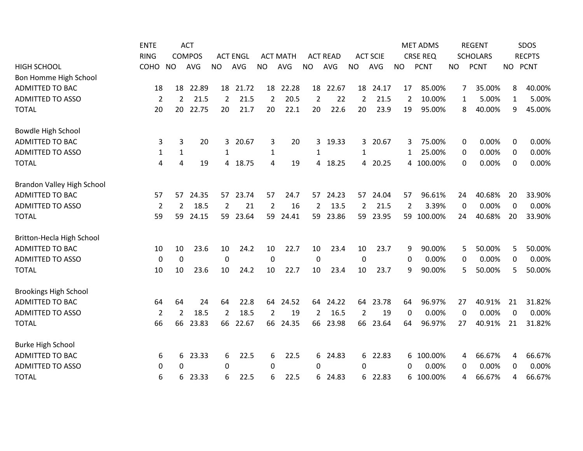|                                   | <b>ENTE</b>      |                | <b>ACT</b>    |                |                 |                |                 |                |                 |                  |                 |              | <b>MET ADMS</b> |             | <b>REGENT</b>   |          | SDOS          |
|-----------------------------------|------------------|----------------|---------------|----------------|-----------------|----------------|-----------------|----------------|-----------------|------------------|-----------------|--------------|-----------------|-------------|-----------------|----------|---------------|
|                                   | <b>RING</b>      |                | <b>COMPOS</b> |                | <b>ACT ENGL</b> |                | <b>ACT MATH</b> |                | <b>ACT READ</b> |                  | <b>ACT SCIE</b> |              | <b>CRSE REQ</b> |             | <b>SCHOLARS</b> |          | <b>RECPTS</b> |
| <b>HIGH SCHOOL</b>                | COHO             | <b>NO</b>      | <b>AVG</b>    | <b>NO</b>      | AVG             | <b>NO</b>      | AVG             | <b>NO</b>      | AVG             | <b>NO</b>        | <b>AVG</b>      | <b>NO</b>    | <b>PCNT</b>     | <b>NO</b>   | <b>PCNT</b>     | NO PCNT  |               |
| Bon Homme High School             |                  |                |               |                |                 |                |                 |                |                 |                  |                 |              |                 |             |                 |          |               |
| <b>ADMITTED TO BAC</b>            | 18               | 18             | 22.89         | 18             | 21.72           | 18             | 22.28           |                | 18 22.67        | 18               | 24.17           | 17           | 85.00%          | 7           | 35.00%          | 8        | 40.00%        |
| <b>ADMITTED TO ASSO</b>           | $\overline{2}$   | $\overline{2}$ | 21.5          | 2              | 21.5            | $\overline{2}$ | 20.5            | $\overline{2}$ | 22              | 2                | 21.5            | 2            | 10.00%          | 1           | 5.00%           | 1        | 5.00%         |
| <b>TOTAL</b>                      | 20               | 20             | 22.75         | 20             | 21.7            | 20             | 22.1            | 20             | 22.6            | 20               | 23.9            | 19           | 95.00%          | 8           | 40.00%          | 9        | 45.00%        |
| Bowdle High School                |                  |                |               |                |                 |                |                 |                |                 |                  |                 |              |                 |             |                 |          |               |
| <b>ADMITTED TO BAC</b>            | 3                | 3              | 20            | 3              | 20.67           | 3              | 20              | 3              | 19.33           | 3                | 20.67           | 3            | 75.00%          | 0           | 0.00%           | 0        | 0.00%         |
| <b>ADMITTED TO ASSO</b>           | $\mathbf{1}$     | $\mathbf{1}$   |               | 1              |                 | $\mathbf{1}$   |                 | 1              |                 | 1                |                 | 1            | 25.00%          | 0           | 0.00%           | 0        | 0.00%         |
| <b>TOTAL</b>                      | 4                | 4              | 19            | 4              | 18.75           | 4              | 19              | 4              | 18.25           | 4                | 20.25           |              | 4 100.00%       | 0           | 0.00%           | $\Omega$ | 0.00%         |
| <b>Brandon Valley High School</b> |                  |                |               |                |                 |                |                 |                |                 |                  |                 |              |                 |             |                 |          |               |
| <b>ADMITTED TO BAC</b>            | 57               | 57             | 24.35         | 57             | 23.74           | 57             | 24.7            | 57             | 24.23           | 57               | 24.04           | 57           | 96.61%          | 24          | 40.68%          | 20       | 33.90%        |
| <b>ADMITTED TO ASSO</b>           | $\overline{2}$   | 2              | 18.5          | $\overline{2}$ | 21              | $\overline{2}$ | 16              | $\overline{2}$ | 13.5            | $\overline{2}$   | 21.5            | 2            | 3.39%           | 0           | 0.00%           | 0        | 0.00%         |
| <b>TOTAL</b>                      | 59               | 59             | 24.15         | 59             | 23.64           | 59             | 24.41           | 59             | 23.86           | 59               | 23.95           |              | 59 100.00%      | 24          | 40.68%          | 20       | 33.90%        |
| Britton-Hecla High School         |                  |                |               |                |                 |                |                 |                |                 |                  |                 |              |                 |             |                 |          |               |
| <b>ADMITTED TO BAC</b>            | 10               | 10             | 23.6          | 10             | 24.2            | 10             | 22.7            | 10             | 23.4            | 10               | 23.7            | 9            | 90.00%          | 5           | 50.00%          | 5        | 50.00%        |
| <b>ADMITTED TO ASSO</b>           | $\boldsymbol{0}$ | $\mathbf 0$    |               | $\mathbf 0$    |                 | $\mathbf 0$    |                 | $\mathbf 0$    |                 | $\boldsymbol{0}$ |                 | $\mathbf{0}$ | 0.00%           | $\mathbf 0$ | 0.00%           | 0        | 0.00%         |
| <b>TOTAL</b>                      | 10               | 10             | 23.6          | 10             | 24.2            | 10             | 22.7            | 10             | 23.4            | 10               | 23.7            | 9            | 90.00%          | 5           | 50.00%          | 5        | 50.00%        |
| <b>Brookings High School</b>      |                  |                |               |                |                 |                |                 |                |                 |                  |                 |              |                 |             |                 |          |               |
| <b>ADMITTED TO BAC</b>            | 64               | 64             | 24            | 64             | 22.8            | 64             | 24.52           | 64             | 24.22           | 64               | 23.78           | 64           | 96.97%          | 27          | 40.91%          | 21       | 31.82%        |
| <b>ADMITTED TO ASSO</b>           | $\overline{2}$   | 2              | 18.5          | 2              | 18.5            | 2              | 19              | $\overline{2}$ | 16.5            | 2                | 19              | 0            | 0.00%           | 0           | 0.00%           | $\Omega$ | 0.00%         |
| <b>TOTAL</b>                      | 66               | 66             | 23.83         | 66             | 22.67           | 66             | 24.35           | 66             | 23.98           | 66               | 23.64           | 64           | 96.97%          | 27          | 40.91%          | 21       | 31.82%        |
| <b>Burke High School</b>          |                  |                |               |                |                 |                |                 |                |                 |                  |                 |              |                 |             |                 |          |               |
| <b>ADMITTED TO BAC</b>            | 6                | 6              | 23.33         | 6              | 22.5            | 6              | 22.5            | 6              | 24.83           | 6                | 22.83           |              | 6 100.00%       | 4           | 66.67%          | 4        | 66.67%        |
| <b>ADMITTED TO ASSO</b>           | 0                | $\Omega$       |               | 0              |                 | 0              |                 | 0              |                 | 0                |                 | 0            | 0.00%           | 0           | 0.00%           | 0        | 0.00%         |
| <b>TOTAL</b>                      | 6                | 6              | 23.33         | 6              | 22.5            | 6              | 22.5            | 6              | 24.83           | 6                | 22.83           |              | 6 100.00%       | 4           | 66.67%          | 4        | 66.67%        |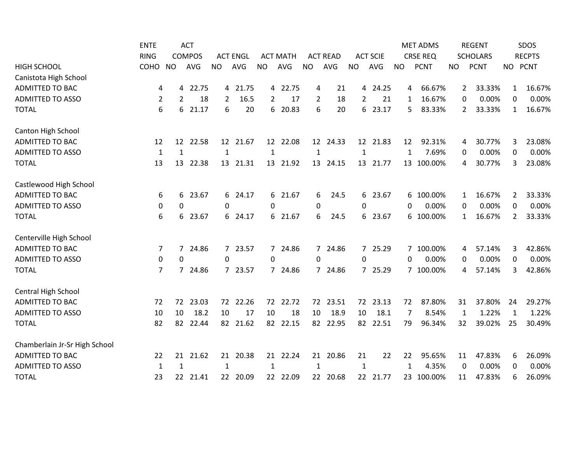|                               | <b>ENTE</b>    |                | <b>ACT</b>    |                 |                 |                 |                 |                |                 |             |                 |           | <b>MET ADMS</b> |           | <b>REGENT</b>   |              | <b>SDOS</b>   |
|-------------------------------|----------------|----------------|---------------|-----------------|-----------------|-----------------|-----------------|----------------|-----------------|-------------|-----------------|-----------|-----------------|-----------|-----------------|--------------|---------------|
|                               | <b>RING</b>    |                | <b>COMPOS</b> |                 | <b>ACT ENGL</b> |                 | <b>ACT MATH</b> |                | <b>ACT READ</b> |             | <b>ACT SCIE</b> |           | <b>CRSE REQ</b> |           | <b>SCHOLARS</b> |              | <b>RECPTS</b> |
| <b>HIGH SCHOOL</b>            | COHO           | <b>NO</b>      | <b>AVG</b>    | <b>NO</b>       | AVG             | <b>NO</b>       | <b>AVG</b>      | <b>NO</b>      | AVG             | <b>NO</b>   | <b>AVG</b>      | <b>NO</b> | <b>PCNT</b>     | <b>NO</b> | <b>PCNT</b>     | NO PCNT      |               |
| Canistota High School         |                |                |               |                 |                 |                 |                 |                |                 |             |                 |           |                 |           |                 |              |               |
| ADMITTED TO BAC               | 4              | 4              | 22.75         | 4               | 21.75           |                 | 4 22.75         | 4              | 21              |             | 4 24.25         | 4         | 66.67%          | 2         | 33.33%          | 1            | 16.67%        |
| <b>ADMITTED TO ASSO</b>       | $\overline{2}$ | $\overline{2}$ | 18            | $\overline{2}$  | 16.5            | 2               | 17              | $\overline{2}$ | 18              | 2           | 21              | 1         | 16.67%          | 0         | 0.00%           | 0            | 0.00%         |
| <b>TOTAL</b>                  | 6              | 6              | 21.17         | 6               | 20              | 6               | 20.83           | 6              | 20              | 6           | 23.17           | 5.        | 83.33%          | 2         | 33.33%          | $\mathbf{1}$ | 16.67%        |
| Canton High School            |                |                |               |                 |                 |                 |                 |                |                 |             |                 |           |                 |           |                 |              |               |
| <b>ADMITTED TO BAC</b>        | 12             | 12             | 22.58         | 12 <sup>2</sup> | 21.67           | 12 <sup>2</sup> | 22.08           |                | 12 24.33        |             | 12 21.83        | 12        | 92.31%          | 4         | 30.77%          | 3            | 23.08%        |
| <b>ADMITTED TO ASSO</b>       | $\mathbf{1}$   | 1              |               | 1               |                 | 1               |                 | 1              |                 | 1           |                 | 1         | 7.69%           | 0         | 0.00%           | 0            | 0.00%         |
| <b>TOTAL</b>                  | 13             | 13             | 22.38         | 13              | 21.31           | 13              | 21.92           | 13             | 24.15           | 13          | 21.77           |           | 13 100.00%      | 4         | 30.77%          | 3            | 23.08%        |
| Castlewood High School        |                |                |               |                 |                 |                 |                 |                |                 |             |                 |           |                 |           |                 |              |               |
| <b>ADMITTED TO BAC</b>        | 6              | 6              | 23.67         | 6               | 24.17           |                 | 6 21.67         | 6              | 24.5            | 6           | 23.67           |           | 6 100.00%       | 1         | 16.67%          | 2            | 33.33%        |
| <b>ADMITTED TO ASSO</b>       | 0              | 0              |               | 0               |                 | 0               |                 | $\mathbf 0$    |                 | $\mathbf 0$ |                 | 0         | 0.00%           | 0         | 0.00%           | $\mathbf 0$  | 0.00%         |
| <b>TOTAL</b>                  | 6              | 6              | 23.67         | 6               | 24.17           |                 | 6 21.67         | 6              | 24.5            |             | 6 23.67         |           | 6 100.00%       | 1         | 16.67%          | 2            | 33.33%        |
| Centerville High School       |                |                |               |                 |                 |                 |                 |                |                 |             |                 |           |                 |           |                 |              |               |
| <b>ADMITTED TO BAC</b>        | 7              |                | 7 24.86       |                 | 7 23.57         |                 | 7 24.86         |                | 7 24.86         |             | 7 25.29         |           | 7 100.00%       | 4         | 57.14%          | 3            | 42.86%        |
| <b>ADMITTED TO ASSO</b>       | 0              | 0              |               | $\mathbf 0$     |                 | 0               |                 | $\mathbf 0$    |                 | 0           |                 | $\Omega$  | 0.00%           | 0         | 0.00%           | 0            | 0.00%         |
| <b>TOTAL</b>                  | 7              | $\overline{7}$ | 24.86         |                 | 7 23.57         |                 | 7 24.86         | $7^{\circ}$    | 24.86           |             | 7 25.29         |           | 7 100.00%       | 4         | 57.14%          | 3            | 42.86%        |
| Central High School           |                |                |               |                 |                 |                 |                 |                |                 |             |                 |           |                 |           |                 |              |               |
| ADMITTED TO BAC               | 72             | 72             | 23.03         | 72              | 22.26           | 72              | 22.72           | 72             | 23.51           | 72          | 23.13           | 72        | 87.80%          | 31        | 37.80%          | 24           | 29.27%        |
| <b>ADMITTED TO ASSO</b>       | 10             | 10             | 18.2          | 10              | 17              | 10              | 18              | 10             | 18.9            | 10          | 18.1            | 7         | 8.54%           | 1         | 1.22%           | 1            | 1.22%         |
| <b>TOTAL</b>                  | 82             | 82             | 22.44         | 82              | 21.62           | 82              | 22.15           | 82             | 22.95           | 82          | 22.51           | 79        | 96.34%          | 32        | 39.02%          | 25           | 30.49%        |
| Chamberlain Jr-Sr High School |                |                |               |                 |                 |                 |                 |                |                 |             |                 |           |                 |           |                 |              |               |
| <b>ADMITTED TO BAC</b>        | 22             | 21             | 21.62         | 21              | 20.38           | 21              | 22.24           | 21             | 20.86           | 21          | 22              | 22        | 95.65%          | 11        | 47.83%          | 6            | 26.09%        |
| <b>ADMITTED TO ASSO</b>       | 1              | 1              |               | $\mathbf{1}$    |                 | 1               |                 | 1              |                 | 1           |                 | 1         | 4.35%           | 0         | 0.00%           | 0            | 0.00%         |
| <b>TOTAL</b>                  | 23             |                | 22 21.41      |                 | 22 20.09        |                 | 22 22.09        |                | 22 20.68        |             | 22 21.77        |           | 23 100.00%      | 11        | 47.83%          | 6            | 26.09%        |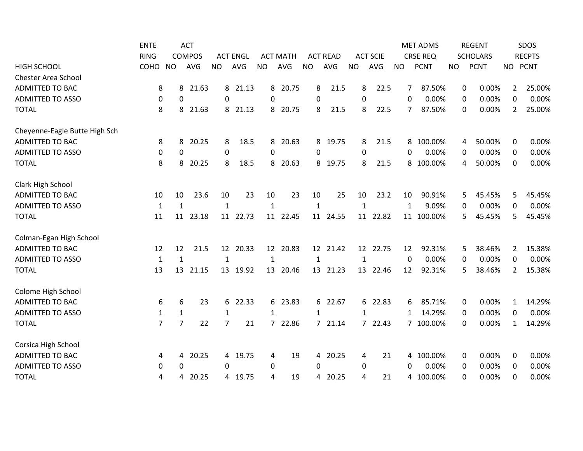|                               | <b>ENTE</b>    |                | <b>ACT</b>    |                 |                 |                |                 |                |                 |              |                 |                | <b>MET ADMS</b> |           | <b>REGENT</b>   |          | SDOS          |
|-------------------------------|----------------|----------------|---------------|-----------------|-----------------|----------------|-----------------|----------------|-----------------|--------------|-----------------|----------------|-----------------|-----------|-----------------|----------|---------------|
|                               | <b>RING</b>    |                | <b>COMPOS</b> |                 | <b>ACT ENGL</b> |                | <b>ACT MATH</b> |                | <b>ACT READ</b> |              | <b>ACT SCIE</b> |                | <b>CRSE REQ</b> |           | <b>SCHOLARS</b> |          | <b>RECPTS</b> |
| <b>HIGH SCHOOL</b>            | COHO           | <b>NO</b>      | <b>AVG</b>    | <b>NO</b>       | AVG             | <b>NO</b>      | AVG             | <b>NO</b>      | AVG             | <b>NO</b>    | <b>AVG</b>      | <b>NO</b>      | <b>PCNT</b>     | <b>NO</b> | <b>PCNT</b>     |          | NO PCNT       |
| <b>Chester Area School</b>    |                |                |               |                 |                 |                |                 |                |                 |              |                 |                |                 |           |                 |          |               |
| <b>ADMITTED TO BAC</b>        | 8              | 8              | 21.63         | 8               | 21.13           | 8              | 20.75           | 8              | 21.5            | 8            | 22.5            | 7              | 87.50%          | 0         | 0.00%           | 2        | 25.00%        |
| <b>ADMITTED TO ASSO</b>       | 0              | 0              |               | $\Omega$        |                 | $\Omega$       |                 | 0              |                 | 0            |                 | $\Omega$       | 0.00%           | 0         | 0.00%           | $\Omega$ | 0.00%         |
| <b>TOTAL</b>                  | 8              | 8              | 21.63         | 8               | 21.13           | 8              | 20.75           | 8              | 21.5            | 8            | 22.5            | $\overline{7}$ | 87.50%          | 0         | 0.00%           | 2        | 25.00%        |
| Cheyenne-Eagle Butte High Sch |                |                |               |                 |                 |                |                 |                |                 |              |                 |                |                 |           |                 |          |               |
| <b>ADMITTED TO BAC</b>        | 8              | 8              | 20.25         | 8               | 18.5            | 8              | 20.63           | 8              | 19.75           | 8            | 21.5            |                | 8 100.00%       | 4         | 50.00%          | 0        | 0.00%         |
| <b>ADMITTED TO ASSO</b>       | 0              | 0              |               | 0               |                 | 0              |                 | $\mathbf 0$    |                 | $\mathbf 0$  |                 | 0              | 0.00%           | 0         | 0.00%           | 0        | 0.00%         |
| <b>TOTAL</b>                  | 8              | 8              | 20.25         | 8               | 18.5            | 8              | 20.63           | 8              | 19.75           | 8            | 21.5            |                | 8 100.00%       | 4         | 50.00%          | 0        | 0.00%         |
| Clark High School             |                |                |               |                 |                 |                |                 |                |                 |              |                 |                |                 |           |                 |          |               |
| <b>ADMITTED TO BAC</b>        | 10             | 10             | 23.6          | 10              | 23              | 10             | 23              | 10             | 25              | 10           | 23.2            | 10             | 90.91%          | 5.        | 45.45%          | 5        | 45.45%        |
| <b>ADMITTED TO ASSO</b>       | 1              | $\mathbf{1}$   |               | 1               |                 | 1              |                 | $\mathbf{1}$   |                 | $\mathbf{1}$ |                 | $\mathbf{1}$   | 9.09%           | 0         | 0.00%           | 0        | 0.00%         |
| <b>TOTAL</b>                  | 11             | 11             | 23.18         | 11              | 22.73           |                | 11 22.45        |                | 11 24.55        | 11           | 22.82           |                | 11 100.00%      | 5         | 45.45%          | 5        | 45.45%        |
| Colman-Egan High School       |                |                |               |                 |                 |                |                 |                |                 |              |                 |                |                 |           |                 |          |               |
| <b>ADMITTED TO BAC</b>        | 12             | 12             | 21.5          | 12 <sup>7</sup> | 20.33           |                | 12 20.83        |                | 12 21.42        |              | 12 22.75        | 12             | 92.31%          | 5         | 38.46%          | 2        | 15.38%        |
| <b>ADMITTED TO ASSO</b>       | $\mathbf{1}$   | $\mathbf{1}$   |               | $\mathbf{1}$    |                 | $\mathbf{1}$   |                 | $\mathbf{1}$   |                 | $\mathbf{1}$ |                 | 0              | 0.00%           | 0         | 0.00%           | 0        | 0.00%         |
| <b>TOTAL</b>                  | 13             | 13             | 21.15         | 13              | 19.92           | 13             | 20.46           | 13             | 21.23           | 13           | 22.46           | 12             | 92.31%          | 5         | 38.46%          | 2        | 15.38%        |
| Colome High School            |                |                |               |                 |                 |                |                 |                |                 |              |                 |                |                 |           |                 |          |               |
| <b>ADMITTED TO BAC</b>        | 6              | 6              | 23            | 6               | 22.33           |                | 6 23.83         |                | 6 22.67         |              | 6 22.83         | 6              | 85.71%          | 0         | 0.00%           | 1        | 14.29%        |
| <b>ADMITTED TO ASSO</b>       | $\mathbf{1}$   | $\mathbf{1}$   |               | 1               |                 | 1              |                 | 1              |                 | 1            |                 | 1              | 14.29%          | 0         | 0.00%           | 0        | 0.00%         |
| <b>TOTAL</b>                  | $\overline{7}$ | $\overline{7}$ | 22            | $\overline{7}$  | 21              | $\overline{7}$ | 22.86           | $\overline{7}$ | 21.14           |              | 7 22.43         |                | 7 100.00%       | 0         | 0.00%           | 1        | 14.29%        |
| Corsica High School           |                |                |               |                 |                 |                |                 |                |                 |              |                 |                |                 |           |                 |          |               |
| <b>ADMITTED TO BAC</b>        | 4              | 4              | 20.25         | 4               | 19.75           | 4              | 19              | 4              | 20.25           | 4            | 21              |                | 4 100.00%       | 0         | 0.00%           | 0        | 0.00%         |
| <b>ADMITTED TO ASSO</b>       | 0              | 0              |               | 0               |                 | 0              |                 | $\Omega$       |                 | 0            |                 | 0              | 0.00%           | $\Omega$  | 0.00%           | 0        | 0.00%         |
| <b>TOTAL</b>                  | 4              | 4              | 20.25         | 4               | 19.75           | 4              | 19              | 4              | 20.25           | 4            | 21              |                | 4 100.00%       | 0         | 0.00%           | 0        | 0.00%         |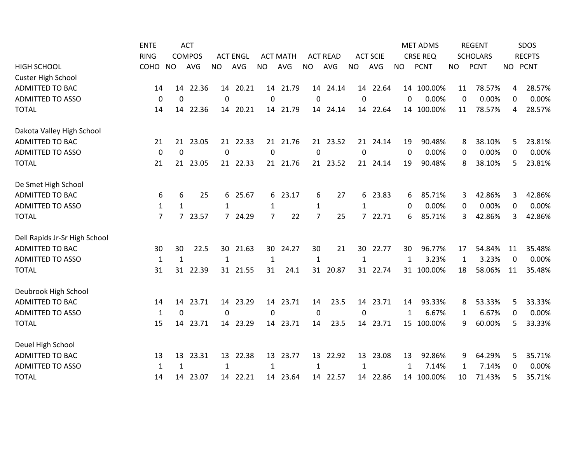|                               | <b>ENTE</b>  |              | <b>ACT</b>    |              |                 |           |                 |                |                 |              |                 |              | <b>MET ADMS</b> |    | <b>REGENT</b>   |          | SDOS          |
|-------------------------------|--------------|--------------|---------------|--------------|-----------------|-----------|-----------------|----------------|-----------------|--------------|-----------------|--------------|-----------------|----|-----------------|----------|---------------|
|                               | <b>RING</b>  |              | <b>COMPOS</b> |              | <b>ACT ENGL</b> |           | <b>ACT MATH</b> |                | <b>ACT READ</b> |              | <b>ACT SCIE</b> |              | <b>CRSE REQ</b> |    | <b>SCHOLARS</b> |          | <b>RECPTS</b> |
| <b>HIGH SCHOOL</b>            | COHO         | <b>NO</b>    | AVG           | <b>NO</b>    | AVG             | <b>NO</b> | <b>AVG</b>      | <b>NO</b>      | <b>AVG</b>      | <b>NO</b>    | AVG             | <b>NO</b>    | <b>PCNT</b>     | NO | <b>PCNT</b>     |          | NO PCNT       |
| <b>Custer High School</b>     |              |              |               |              |                 |           |                 |                |                 |              |                 |              |                 |    |                 |          |               |
| <b>ADMITTED TO BAC</b>        | 14           | 14           | 22.36         |              | 14 20.21        | 14        | 21.79           |                | 14 24.14        |              | 14 22.64        |              | 14 100.00%      | 11 | 78.57%          | 4        | 28.57%        |
| <b>ADMITTED TO ASSO</b>       | 0            | 0            |               | $\mathbf 0$  |                 | 0         |                 | $\pmb{0}$      |                 | $\mathbf 0$  |                 | $\mathbf 0$  | 0.00%           | 0  | 0.00%           | 0        | 0.00%         |
| <b>TOTAL</b>                  | 14           | 14           | 22.36         | 14           | 20.21           |           | 14 21.79        |                | 14 24.14        |              | 14 22.64        |              | 14 100.00%      | 11 | 78.57%          | 4        | 28.57%        |
| Dakota Valley High School     |              |              |               |              |                 |           |                 |                |                 |              |                 |              |                 |    |                 |          |               |
| ADMITTED TO BAC               | 21           | 21           | 23.05         | 21           | 22.33           | 21        | 21.76           |                | 21 23.52        | 21           | 24.14           | 19           | 90.48%          | 8  | 38.10%          | 5        | 23.81%        |
| <b>ADMITTED TO ASSO</b>       | $\mathbf 0$  | 0            |               | 0            |                 | 0         |                 | $\pmb{0}$      |                 | $\mathbf 0$  |                 | 0            | 0.00%           | 0  | 0.00%           | 0        | 0.00%         |
| <b>TOTAL</b>                  | 21           |              | 21 23.05      | 21           | 22.33           | 21        | 21.76           |                | 21 23.52        | 21           | 24.14           | 19           | 90.48%          | 8  | 38.10%          | 5        | 23.81%        |
| De Smet High School           |              |              |               |              |                 |           |                 |                |                 |              |                 |              |                 |    |                 |          |               |
| <b>ADMITTED TO BAC</b>        | 6            | 6            | 25            | 6            | 25.67           |           | 6 23.17         | 6              | 27              | 6            | 23.83           | 6            | 85.71%          | 3  | 42.86%          | 3        | 42.86%        |
| <b>ADMITTED TO ASSO</b>       | $\mathbf{1}$ | $\mathbf{1}$ |               | $\mathbf{1}$ |                 | 1         |                 | $\mathbf{1}$   |                 | 1            |                 | 0            | 0.00%           | 0  | 0.00%           | 0        | 0.00%         |
| <b>TOTAL</b>                  | 7            |              | 7 23.57       |              | 7 24.29         | 7         | 22              | $\overline{7}$ | 25              |              | 7 22.71         | 6            | 85.71%          | 3  | 42.86%          | 3        | 42.86%        |
| Dell Rapids Jr-Sr High School |              |              |               |              |                 |           |                 |                |                 |              |                 |              |                 |    |                 |          |               |
| <b>ADMITTED TO BAC</b>        | 30           | 30           | 22.5          |              | 30 21.63        |           | 30 24.27        | 30             | 21              |              | 30 22.77        | 30           | 96.77%          | 17 | 54.84%          | 11       | 35.48%        |
| <b>ADMITTED TO ASSO</b>       | $\mathbf{1}$ | $\mathbf{1}$ |               | $\mathbf{1}$ |                 | 1         |                 | $\mathbf{1}$   |                 | $\mathbf{1}$ |                 | $\mathbf{1}$ | 3.23%           | 1  | 3.23%           | $\Omega$ | 0.00%         |
| <b>TOTAL</b>                  | 31           | 31           | 22.39         | 31           | 21.55           | 31        | 24.1            | 31             | 20.87           |              | 31 22.74        |              | 31 100.00%      | 18 | 58.06%          | 11       | 35.48%        |
| Deubrook High School          |              |              |               |              |                 |           |                 |                |                 |              |                 |              |                 |    |                 |          |               |
| <b>ADMITTED TO BAC</b>        | 14           | 14           | 23.71         |              | 14 23.29        | 14        | 23.71           | 14             | 23.5            |              | 14 23.71        | 14           | 93.33%          | 8  | 53.33%          | 5        | 33.33%        |
| <b>ADMITTED TO ASSO</b>       | $\mathbf{1}$ | 0            |               | $\Omega$     |                 | $\Omega$  |                 | $\pmb{0}$      |                 | 0            |                 | 1            | 6.67%           | 1  | 6.67%           | 0        | 0.00%         |
| <b>TOTAL</b>                  | 15           | 14           | 23.71         | 14           | 23.29           | 14        | 23.71           | 14             | 23.5            | 14           | 23.71           |              | 15 100.00%      | 9  | 60.00%          | 5        | 33.33%        |
| Deuel High School             |              |              |               |              |                 |           |                 |                |                 |              |                 |              |                 |    |                 |          |               |
| ADMITTED TO BAC               | 13           | 13           | 23.31         | 13           | 22.38           | 13        | 23.77           |                | 13 22.92        |              | 13 23.08        | 13           | 92.86%          | 9  | 64.29%          | 5        | 35.71%        |
| <b>ADMITTED TO ASSO</b>       | 1            | 1            |               | $\mathbf{1}$ |                 | 1         |                 | 1              |                 | 1            |                 | 1            | 7.14%           | 1  | 7.14%           | 0        | 0.00%         |
| <b>TOTAL</b>                  | 14           |              | 14 23.07      |              | 14 22.21        |           | 14 23.64        |                | 14 22.57        |              | 14 22.86        |              | 14 100.00%      | 10 | 71.43%          | 5        | 35.71%        |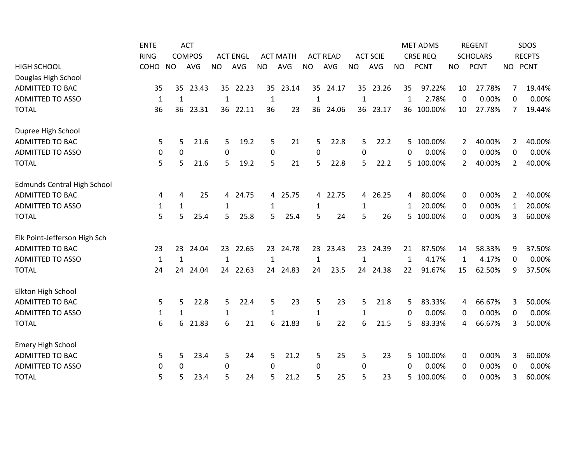|                                    | <b>ENTE</b>      |              | <b>ACT</b>    |                 |                 |              |                 |              |                 |              |                 |              | <b>MET ADMS</b> |              | <b>REGENT</b>   |                | SDOS          |
|------------------------------------|------------------|--------------|---------------|-----------------|-----------------|--------------|-----------------|--------------|-----------------|--------------|-----------------|--------------|-----------------|--------------|-----------------|----------------|---------------|
|                                    | <b>RING</b>      |              | <b>COMPOS</b> |                 | <b>ACT ENGL</b> |              | <b>ACT MATH</b> |              | <b>ACT READ</b> |              | <b>ACT SCIE</b> |              | <b>CRSE REQ</b> |              | <b>SCHOLARS</b> |                | <b>RECPTS</b> |
| <b>HIGH SCHOOL</b>                 | COHO             | <b>NO</b>    | <b>AVG</b>    | <b>NO</b>       | AVG             | <b>NO</b>    | <b>AVG</b>      | <b>NO</b>    | <b>AVG</b>      | <b>NO</b>    | AVG             | <b>NO</b>    | <b>PCNT</b>     | <b>NO</b>    | <b>PCNT</b>     |                | NO PCNT       |
| Douglas High School                |                  |              |               |                 |                 |              |                 |              |                 |              |                 |              |                 |              |                 |                |               |
| <b>ADMITTED TO BAC</b>             | 35               | 35           | 23.43         | 35 <sub>1</sub> | 22.23           | 35           | 23.14           |              | 35 24.17        |              | 35 23.26        | 35           | 97.22%          | 10           | 27.78%          | 7              | 19.44%        |
| <b>ADMITTED TO ASSO</b>            | 1                | 1            |               | 1               |                 | 1            |                 | 1            |                 | 1            |                 | 1            | 2.78%           | 0            | 0.00%           | 0              | 0.00%         |
| <b>TOTAL</b>                       | 36               | 36           | 23.31         | 36              | 22.11           | 36           | 23              | 36           | 24.06           | 36           | 23.17           |              | 36 100.00%      | 10           | 27.78%          | 7              | 19.44%        |
| Dupree High School                 |                  |              |               |                 |                 |              |                 |              |                 |              |                 |              |                 |              |                 |                |               |
| <b>ADMITTED TO BAC</b>             | 5                | 5            | 21.6          | 5               | 19.2            | 5            | 21              | 5            | 22.8            | 5            | 22.2            |              | 5 100.00%       | 2            | 40.00%          | 2              | 40.00%        |
| <b>ADMITTED TO ASSO</b>            | 0                | 0            |               | 0               |                 | 0            |                 | 0            |                 | $\mathbf 0$  |                 | 0            | 0.00%           | 0            | 0.00%           | 0              | 0.00%         |
| <b>TOTAL</b>                       | 5                | 5            | 21.6          | 5               | 19.2            | 5            | 21              | 5            | 22.8            | 5            | 22.2            |              | 5 100.00%       | 2            | 40.00%          | $\overline{2}$ | 40.00%        |
| <b>Edmunds Central High School</b> |                  |              |               |                 |                 |              |                 |              |                 |              |                 |              |                 |              |                 |                |               |
| <b>ADMITTED TO BAC</b>             | 4                | 4            | 25            | 4               | 24.75           | 4            | 25.75           | 4            | 22.75           | 4            | 26.25           | 4            | 80.00%          | 0            | 0.00%           | $\overline{2}$ | 40.00%        |
| <b>ADMITTED TO ASSO</b>            | $\mathbf{1}$     | $\mathbf{1}$ |               | $\mathbf 1$     |                 | 1            |                 | 1            |                 | 1            |                 | 1            | 20.00%          | 0            | 0.00%           | $\mathbf{1}$   | 20.00%        |
| <b>TOTAL</b>                       | 5                | 5            | 25.4          | 5               | 25.8            | 5            | 25.4            | 5            | 24              | 5            | 26              |              | 5 100.00%       | 0            | 0.00%           | 3              | 60.00%        |
| Elk Point-Jefferson High Sch       |                  |              |               |                 |                 |              |                 |              |                 |              |                 |              |                 |              |                 |                |               |
| <b>ADMITTED TO BAC</b>             | 23               | 23           | 24.04         | 23              | 22.65           | 23           | 24.78           |              | 23 23.43        |              | 23 24.39        | 21           | 87.50%          | 14           | 58.33%          | 9              | 37.50%        |
| <b>ADMITTED TO ASSO</b>            | $\mathbf 1$      | $\mathbf{1}$ |               | $\mathbf{1}$    |                 | $\mathbf{1}$ |                 | $\mathbf 1$  |                 | $\mathbf{1}$ |                 | $\mathbf{1}$ | 4.17%           | $\mathbf{1}$ | 4.17%           | 0              | 0.00%         |
| <b>TOTAL</b>                       | 24               | 24           | 24.04         | 24              | 22.63           | 24           | 24.83           | 24           | 23.5            | 24           | 24.38           | 22           | 91.67%          | 15           | 62.50%          | 9              | 37.50%        |
| Elkton High School                 |                  |              |               |                 |                 |              |                 |              |                 |              |                 |              |                 |              |                 |                |               |
| <b>ADMITTED TO BAC</b>             | 5                | 5.           | 22.8          | 5               | 22.4            | 5            | 23              | 5            | 23              | 5            | 21.8            | 5            | 83.33%          | 4            | 66.67%          | 3              | 50.00%        |
| <b>ADMITTED TO ASSO</b>            | $\mathbf{1}$     | $\mathbf{1}$ |               | $\mathbf{1}$    |                 | $\mathbf{1}$ |                 | $\mathbf{1}$ |                 | $\mathbf{1}$ |                 | 0            | 0.00%           | 0            | 0.00%           | 0              | 0.00%         |
| <b>TOTAL</b>                       | $\boldsymbol{6}$ | 6            | 21.83         | 6               | 21              | 6            | 21.83           | 6            | 22              | 6            | 21.5            | 5.           | 83.33%          | 4            | 66.67%          | 3              | 50.00%        |
| <b>Emery High School</b>           |                  |              |               |                 |                 |              |                 |              |                 |              |                 |              |                 |              |                 |                |               |
| <b>ADMITTED TO BAC</b>             | 5                | 5            | 23.4          | 5               | 24              | 5            | 21.2            | 5            | 25              | 5            | 23              | 5.           | 100.00%         | 0            | 0.00%           | 3              | 60.00%        |
| <b>ADMITTED TO ASSO</b>            | 0                | 0            |               | $\Omega$        |                 | $\Omega$     |                 | 0            |                 | 0            |                 | 0            | 0.00%           | 0            | 0.00%           | 0              | 0.00%         |
| <b>TOTAL</b>                       | 5                | 5            | 23.4          | 5               | 24              | 5            | 21.2            | 5            | 25              | 5            | 23              | 5.           | 100.00%         | $\Omega$     | 0.00%           | 3              | 60.00%        |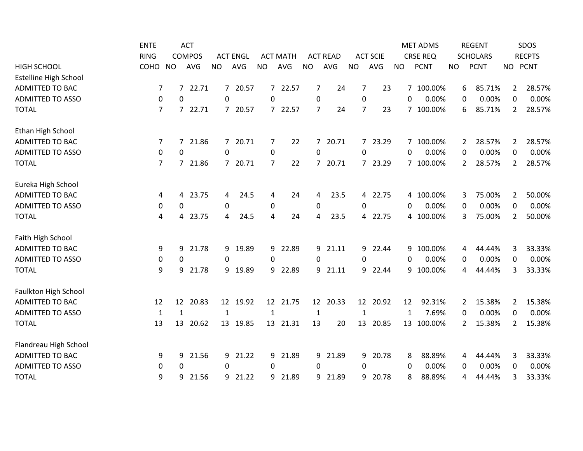|                              | <b>ENTE</b>    |                  | <b>ACT</b>    |                |                 |              |                 |                |                 |                |                 |           | <b>MET ADMS</b> |                | <b>REGENT</b>   |                | SDOS          |
|------------------------------|----------------|------------------|---------------|----------------|-----------------|--------------|-----------------|----------------|-----------------|----------------|-----------------|-----------|-----------------|----------------|-----------------|----------------|---------------|
|                              | <b>RING</b>    |                  | <b>COMPOS</b> |                | <b>ACT ENGL</b> |              | <b>ACT MATH</b> |                | <b>ACT READ</b> |                | <b>ACT SCIE</b> |           | <b>CRSE REQ</b> |                | <b>SCHOLARS</b> |                | <b>RECPTS</b> |
| <b>HIGH SCHOOL</b>           | COHO           | <b>NO</b>        | <b>AVG</b>    | <b>NO</b>      | AVG             | <b>NO</b>    | <b>AVG</b>      | <b>NO</b>      | AVG             | <b>NO</b>      | AVG             | <b>NO</b> | <b>PCNT</b>     | <b>NO</b>      | <b>PCNT</b>     |                | NO PCNT       |
| <b>Estelline High School</b> |                |                  |               |                |                 |              |                 |                |                 |                |                 |           |                 |                |                 |                |               |
| <b>ADMITTED TO BAC</b>       | 7              |                  | 7 22.71       |                | 7 20.57         |              | 7 22.57         | 7              | 24              | 7              | 23              |           | 7 100.00%       | 6              | 85.71%          | 2              | 28.57%        |
| <b>ADMITTED TO ASSO</b>      | $\mathbf 0$    | $\mathbf 0$      |               | $\Omega$       |                 | $\Omega$     |                 | $\mathbf 0$    |                 | $\mathbf 0$    |                 | $\Omega$  | 0.00%           | 0              | 0.00%           | $\Omega$       | 0.00%         |
| <b>TOTAL</b>                 | $\overline{7}$ |                  | 7 22.71       | $\mathcal{I}$  | 20.57           |              | 7 22.57         | $\overline{7}$ | 24              | $\overline{7}$ | 23              |           | 7 100.00%       | 6              | 85.71%          | 2              | 28.57%        |
| Ethan High School            |                |                  |               |                |                 |              |                 |                |                 |                |                 |           |                 |                |                 |                |               |
| <b>ADMITTED TO BAC</b>       | 7              | 7                | 21.86         | $\overline{7}$ | 20.71           | 7            | 22              | $7^{\circ}$    | 20.71           |                | 7 23.29         |           | 7 100.00%       | $\mathbf{2}$   | 28.57%          | 2              | 28.57%        |
| <b>ADMITTED TO ASSO</b>      | 0              | $\mathbf 0$      |               | 0              |                 | 0            |                 | 0              |                 | $\mathbf 0$    |                 | 0         | 0.00%           | 0              | 0.00%           | 0              | 0.00%         |
| <b>TOTAL</b>                 | 7              | $7^{\circ}$      | 21.86         | $\overline{7}$ | 20.71           | 7            | 22              | $\overline{7}$ | 20.71           |                | 7 23.29         |           | 7 100.00%       | $\overline{2}$ | 28.57%          | 2              | 28.57%        |
| Eureka High School           |                |                  |               |                |                 |              |                 |                |                 |                |                 |           |                 |                |                 |                |               |
| <b>ADMITTED TO BAC</b>       | 4              | 4                | 23.75         | 4              | 24.5            | 4            | 24              | 4              | 23.5            | 4              | 22.75           |           | 4 100.00%       | 3              | 75.00%          | 2              | 50.00%        |
| <b>ADMITTED TO ASSO</b>      | $\pmb{0}$      | $\boldsymbol{0}$ |               | $\pmb{0}$      |                 | 0            |                 | $\pmb{0}$      |                 | 0              |                 | 0         | 0.00%           | 0              | 0.00%           | 0              | 0.00%         |
| <b>TOTAL</b>                 | 4              | 4                | 23.75         | 4              | 24.5            | 4            | 24              | 4              | 23.5            |                | 4 22.75         |           | 4 100.00%       | 3              | 75.00%          | 2              | 50.00%        |
| Faith High School            |                |                  |               |                |                 |              |                 |                |                 |                |                 |           |                 |                |                 |                |               |
| <b>ADMITTED TO BAC</b>       | 9              | 9                | 21.78         | 9              | 19.89           |              | 9 22.89         |                | 9 21.11         |                | 9 22.44         |           | 9 100.00%       | 4              | 44.44%          | 3              | 33.33%        |
| <b>ADMITTED TO ASSO</b>      | $\pmb{0}$      | 0                |               | 0              |                 | 0            |                 | 0              |                 | 0              |                 | $\Omega$  | 0.00%           | $\mathbf 0$    | 0.00%           | 0              | 0.00%         |
| <b>TOTAL</b>                 | 9              | 9                | 21.78         | 9              | 19.89           | 9            | 22.89           | 9              | 21.11           | 9              | 22.44           |           | 9 100.00%       | 4              | 44.44%          | 3              | 33.33%        |
| <b>Faulkton High School</b>  |                |                  |               |                |                 |              |                 |                |                 |                |                 |           |                 |                |                 |                |               |
| <b>ADMITTED TO BAC</b>       | 12             | 12               | 20.83         | 12             | 19.92           | 12           | 21.75           | 12             | 20.33           |                | 12 20.92        | 12        | 92.31%          | 2              | 15.38%          | 2              | 15.38%        |
| <b>ADMITTED TO ASSO</b>      | $\mathbf{1}$   | $\mathbf{1}$     |               | $\mathbf{1}$   |                 | $\mathbf{1}$ |                 | $\mathbf{1}$   |                 | $\mathbf{1}$   |                 | 1         | 7.69%           | 0              | 0.00%           | 0              | 0.00%         |
| <b>TOTAL</b>                 | 13             | 13               | 20.62         | 13             | 19.85           | 13           | 21.31           | 13             | 20              | 13             | 20.85           |           | 13 100.00%      | 2              | 15.38%          | $\overline{2}$ | 15.38%        |
| Flandreau High School        |                |                  |               |                |                 |              |                 |                |                 |                |                 |           |                 |                |                 |                |               |
| ADMITTED TO BAC              | 9              | 9                | 21.56         | 9              | 21.22           | 9            | 21.89           | 9              | 21.89           | 9              | 20.78           | 8         | 88.89%          | 4              | 44.44%          | 3              | 33.33%        |
| <b>ADMITTED TO ASSO</b>      | 0              | $\Omega$         |               | 0              |                 | 0            |                 | 0              |                 | 0              |                 | 0         | 0.00%           | 0              | 0.00%           | 0              | 0.00%         |
| <b>TOTAL</b>                 | 9              | 9                | 21.56         | 9              | 21.22           | 9            | 21.89           | 9              | 21.89           | 9              | 20.78           | 8         | 88.89%          | 4              | 44.44%          | 3              | 33.33%        |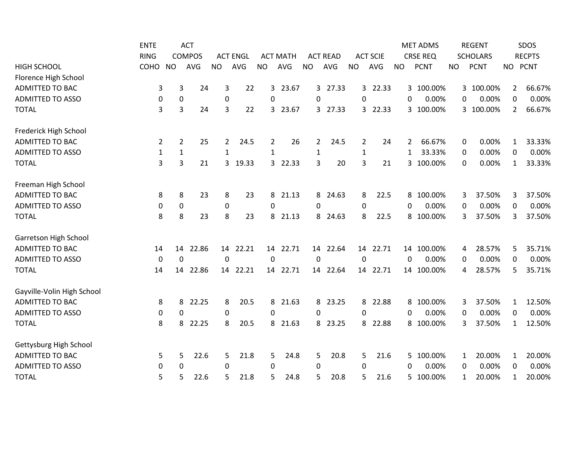|                            | <b>ENTE</b>  |                  | <b>ACT</b>    |             |                 |           |                 |                  |                 |                  |                 |           | <b>MET ADMS</b> |              | <b>REGENT</b>   |              | SDOS          |
|----------------------------|--------------|------------------|---------------|-------------|-----------------|-----------|-----------------|------------------|-----------------|------------------|-----------------|-----------|-----------------|--------------|-----------------|--------------|---------------|
|                            | <b>RING</b>  |                  | <b>COMPOS</b> |             | <b>ACT ENGL</b> |           | <b>ACT MATH</b> |                  | <b>ACT READ</b> |                  | <b>ACT SCIE</b> |           | <b>CRSE REQ</b> |              | <b>SCHOLARS</b> |              | <b>RECPTS</b> |
| <b>HIGH SCHOOL</b>         | COHO         | <b>NO</b>        | <b>AVG</b>    | <b>NO</b>   | AVG             | <b>NO</b> | AVG             | <b>NO</b>        | AVG             | <b>NO</b>        | AVG             | <b>NO</b> | <b>PCNT</b>     | <b>NO</b>    | <b>PCNT</b>     | <b>NO</b>    | <b>PCNT</b>   |
| Florence High School       |              |                  |               |             |                 |           |                 |                  |                 |                  |                 |           |                 |              |                 |              |               |
| <b>ADMITTED TO BAC</b>     | 3            | 3                | 24            | 3           | 22              | 3         | 23.67           |                  | 3 27.33         |                  | 3 22.33         |           | 3 100.00%       |              | 3 100.00%       | 2            | 66.67%        |
| <b>ADMITTED TO ASSO</b>    | 0            | $\mathbf 0$      |               | 0           |                 | $\Omega$  |                 | $\Omega$         |                 | 0                |                 | $\Omega$  | 0.00%           | 0            | 0.00%           | $\Omega$     | 0.00%         |
| <b>TOTAL</b>               | 3            | 3                | 24            | 3           | 22              | 3         | 23.67           | 3                | 27.33           | 3                | 22.33           |           | 3 100.00%       |              | 3 100.00%       | 2            | 66.67%        |
| Frederick High School      |              |                  |               |             |                 |           |                 |                  |                 |                  |                 |           |                 |              |                 |              |               |
| <b>ADMITTED TO BAC</b>     | 2            | $\overline{2}$   | 25            | 2           | 24.5            | 2         | 26              | 2                | 24.5            | $\overline{2}$   | 24              | 2         | 66.67%          | 0            | 0.00%           | 1            | 33.33%        |
| <b>ADMITTED TO ASSO</b>    | $\mathbf{1}$ | $\mathbf{1}$     |               | 1           |                 | 1         |                 | $\mathbf{1}$     |                 | $\mathbf{1}$     |                 | 1         | 33.33%          | 0            | 0.00%           | 0            | 0.00%         |
| <b>TOTAL</b>               | 3            | 3                | 21            | 3           | 19.33           | 3         | 22.33           | 3                | 20              | 3                | 21              |           | 3<br>100.00%    | 0            | 0.00%           | 1            | 33.33%        |
| Freeman High School        |              |                  |               |             |                 |           |                 |                  |                 |                  |                 |           |                 |              |                 |              |               |
| <b>ADMITTED TO BAC</b>     | 8            | 8                | 23            | 8           | 23              | 8         | 21.13           | 8                | 24.63           | 8                | 22.5            |           | 8 100.00%       | 3            | 37.50%          | 3            | 37.50%        |
| <b>ADMITTED TO ASSO</b>    | 0            | $\pmb{0}$        |               | 0           |                 | 0         |                 | $\mathbf 0$      |                 | $\boldsymbol{0}$ |                 | 0         | 0.00%           | 0            | 0.00%           | $\mathbf 0$  | 0.00%         |
| <b>TOTAL</b>               | 8            | 8                | 23            | 8           | 23              | 8         | 21.13           | 8                | 24.63           | 8                | 22.5            |           | 8 100.00%       | 3            | 37.50%          | 3            | 37.50%        |
| Garretson High School      |              |                  |               |             |                 |           |                 |                  |                 |                  |                 |           |                 |              |                 |              |               |
| <b>ADMITTED TO BAC</b>     | 14           | 14               | 22.86         |             | 14 22.21        |           | 14 22.71        |                  | 14 22.64        |                  | 14 22.71        |           | 14 100.00%      | 4            | 28.57%          | 5            | 35.71%        |
| <b>ADMITTED TO ASSO</b>    | $\pmb{0}$    | $\boldsymbol{0}$ |               | $\mathbf 0$ |                 | 0         |                 | $\boldsymbol{0}$ |                 | $\mathbf 0$      |                 | 0         | 0.00%           | 0            | 0.00%           | 0            | 0.00%         |
| <b>TOTAL</b>               | 14           | 14               | 22.86         | 14          | 22.21           | 14        | 22.71           | 14               | 22.64           | 14               | 22.71           |           | 14 100.00%      | 4            | 28.57%          | 5            | 35.71%        |
| Gayville-Volin High School |              |                  |               |             |                 |           |                 |                  |                 |                  |                 |           |                 |              |                 |              |               |
| <b>ADMITTED TO BAC</b>     | 8            | 8                | 22.25         | 8           | 20.5            | 8         | 21.63           | 8                | 23.25           | 8                | 22.88           |           | 8 100.00%       | 3            | 37.50%          | 1            | 12.50%        |
| <b>ADMITTED TO ASSO</b>    | 0            | 0                |               | 0           |                 | 0         |                 | $\Omega$         |                 | 0                |                 | $\Omega$  | 0.00%           | 0            | 0.00%           | 0            | 0.00%         |
| <b>TOTAL</b>               | 8            | 8                | 22.25         | 8           | 20.5            | 8         | 21.63           | 8                | 23.25           | 8                | 22.88           |           | 8 100.00%       | 3            | 37.50%          | $\mathbf{1}$ | 12.50%        |
| Gettysburg High School     |              |                  |               |             |                 |           |                 |                  |                 |                  |                 |           |                 |              |                 |              |               |
| <b>ADMITTED TO BAC</b>     | 5            | 5                | 22.6          | 5           | 21.8            | 5         | 24.8            | 5                | 20.8            | 5                | 21.6            |           | 5 100.00%       | $\mathbf{1}$ | 20.00%          | $\mathbf{1}$ | 20.00%        |
| <b>ADMITTED TO ASSO</b>    | 0            | 0                |               | 0           |                 | 0         |                 | 0                |                 | 0                |                 | 0         | 0.00%           | 0            | 0.00%           | 0            | 0.00%         |
| <b>TOTAL</b>               | 5            | 5                | 22.6          | 5           | 21.8            | 5         | 24.8            | 5                | 20.8            | 5                | 21.6            |           | 5 100.00%       | 1            | 20.00%          | 1            | 20.00%        |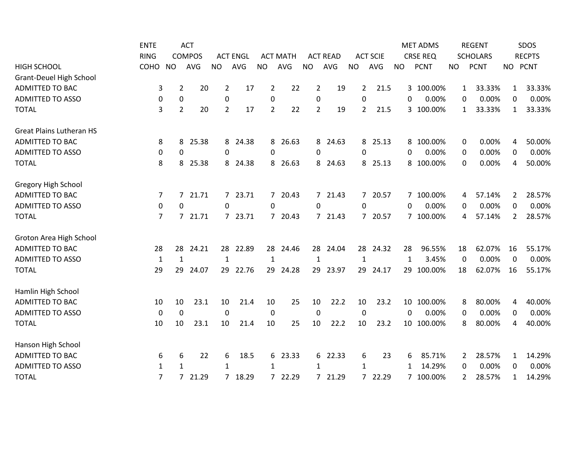|                                 | <b>ENTE</b>    |                | <b>ACT</b>    |                |                 |                |                 |                |                 |                |                 |              | <b>MET ADMS</b> |                | <b>REGENT</b>   |              | SDOS          |
|---------------------------------|----------------|----------------|---------------|----------------|-----------------|----------------|-----------------|----------------|-----------------|----------------|-----------------|--------------|-----------------|----------------|-----------------|--------------|---------------|
|                                 | <b>RING</b>    |                | <b>COMPOS</b> |                | <b>ACT ENGL</b> |                | <b>ACT MATH</b> |                | <b>ACT READ</b> |                | <b>ACT SCIE</b> |              | <b>CRSE REQ</b> |                | <b>SCHOLARS</b> |              | <b>RECPTS</b> |
| <b>HIGH SCHOOL</b>              | COHO           | <b>NO</b>      | <b>AVG</b>    | <b>NO</b>      | AVG             | <b>NO</b>      | AVG             | <b>NO</b>      | AVG             | <b>NO</b>      | <b>AVG</b>      | <b>NO</b>    | <b>PCNT</b>     | <b>NO</b>      | <b>PCNT</b>     |              | NO PCNT       |
| <b>Grant-Deuel High School</b>  |                |                |               |                |                 |                |                 |                |                 |                |                 |              |                 |                |                 |              |               |
| <b>ADMITTED TO BAC</b>          | 3              | $\overline{2}$ | 20            | $\overline{2}$ | 17              | 2              | 22              | $\overline{2}$ | 19              | $\overline{2}$ | 21.5            |              | 3 100.00%       | $\mathbf{1}$   | 33.33%          | $\mathbf{1}$ | 33.33%        |
| <b>ADMITTED TO ASSO</b>         | 0              | $\pmb{0}$      |               | 0              |                 | 0              |                 | $\mathbf 0$    |                 | $\Omega$       |                 | $\Omega$     | 0.00%           | 0              | 0.00%           | 0            | 0.00%         |
| <b>TOTAL</b>                    | 3              | $\overline{2}$ | 20            | $\overline{2}$ | 17              | $\overline{2}$ | 22              | $\overline{2}$ | 19              | 2              | 21.5            |              | 3 100.00%       | 1              | 33.33%          | 1            | 33.33%        |
| <b>Great Plains Lutheran HS</b> |                |                |               |                |                 |                |                 |                |                 |                |                 |              |                 |                |                 |              |               |
| <b>ADMITTED TO BAC</b>          | 8              | 8              | 25.38         | 8              | 24.38           | 8              | 26.63           |                | 8 24.63         | 8              | 25.13           |              | 8 100.00%       | 0              | 0.00%           | 4            | 50.00%        |
| <b>ADMITTED TO ASSO</b>         | 0              | 0              |               | $\pmb{0}$      |                 | 0              |                 | 0              |                 | 0              |                 | 0            | 0.00%           | 0              | 0.00%           | 0            | 0.00%         |
| <b>TOTAL</b>                    | 8              | 8              | 25.38         | 8              | 24.38           | 8              | 26.63           | 8              | 24.63           | 8              | 25.13           |              | 8 100.00%       | 0              | 0.00%           | 4            | 50.00%        |
| Gregory High School             |                |                |               |                |                 |                |                 |                |                 |                |                 |              |                 |                |                 |              |               |
| <b>ADMITTED TO BAC</b>          | 7              | $7^{\circ}$    | 21.71         |                | 7 23.71         |                | 7 20.43         |                | 7 21.43         |                | 7 20.57         |              | 7 100.00%       | 4              | 57.14%          | 2            | 28.57%        |
| <b>ADMITTED TO ASSO</b>         | 0              | 0              |               | 0              |                 | 0              |                 | $\mathbf 0$    |                 | 0              |                 | $\mathbf{0}$ | 0.00%           | 0              | 0.00%           | $\mathbf 0$  | 0.00%         |
| <b>TOTAL</b>                    | $\overline{7}$ |                | 7 21.71       |                | 7 23.71         |                | 7 20.43         |                | 7 21.43         |                | 7 20.57         |              | 7 100.00%       | 4              | 57.14%          | 2            | 28.57%        |
| Groton Area High School         |                |                |               |                |                 |                |                 |                |                 |                |                 |              |                 |                |                 |              |               |
| <b>ADMITTED TO BAC</b>          | 28             | 28             | 24.21         |                | 28 22.89        |                | 28 24.46        |                | 28 24.04        |                | 28 24.32        | 28           | 96.55%          | 18             | 62.07%          | 16           | 55.17%        |
| <b>ADMITTED TO ASSO</b>         | $\mathbf{1}$   | $\mathbf{1}$   |               | $\mathbf{1}$   |                 | $\mathbf{1}$   |                 | $\mathbf{1}$   |                 | $\mathbf{1}$   |                 | $\mathbf{1}$ | 3.45%           | $\mathbf 0$    | 0.00%           | $\Omega$     | 0.00%         |
| <b>TOTAL</b>                    | 29             | 29             | 24.07         | 29             | 22.76           | 29             | 24.28           | 29             | 23.97           | 29             | 24.17           |              | 29 100.00%      | 18             | 62.07%          | 16           | 55.17%        |
| Hamlin High School              |                |                |               |                |                 |                |                 |                |                 |                |                 |              |                 |                |                 |              |               |
| <b>ADMITTED TO BAC</b>          | 10             | 10             | 23.1          | 10             | 21.4            | 10             | 25              | 10             | 22.2            | 10             | 23.2            |              | 10 100.00%      | 8              | 80.00%          | 4            | 40.00%        |
| <b>ADMITTED TO ASSO</b>         | $\mathbf 0$    | $\mathbf 0$    |               | $\mathbf{0}$   |                 | 0              |                 | $\mathbf 0$    |                 | $\mathbf 0$    |                 | $\Omega$     | 0.00%           | 0              | 0.00%           | 0            | 0.00%         |
| <b>TOTAL</b>                    | 10             | 10             | 23.1          | 10             | 21.4            | 10             | 25              | 10             | 22.2            | 10             | 23.2            |              | 10 100.00%      | 8              | 80.00%          | 4            | 40.00%        |
| Hanson High School              |                |                |               |                |                 |                |                 |                |                 |                |                 |              |                 |                |                 |              |               |
| <b>ADMITTED TO BAC</b>          | 6              | 6              | 22            | 6              | 18.5            | 6              | 23.33           | 6              | 22.33           | 6              | 23              | 6            | 85.71%          | $\overline{2}$ | 28.57%          | $\mathbf{1}$ | 14.29%        |
| <b>ADMITTED TO ASSO</b>         | $\mathbf{1}$   | 1              |               | 1              |                 | 1              |                 | 1              |                 | $\mathbf{1}$   |                 | 1            | 14.29%          | 0              | 0.00%           | 0            | 0.00%         |
| <b>TOTAL</b>                    | $\overline{7}$ | 7 <sup>7</sup> | 21.29         |                | 7 18.29         |                | 7 22.29         | 7 <sup>7</sup> | 21.29           |                | 7 22.29         |              | 7 100.00%       | 2              | 28.57%          | 1            | 14.29%        |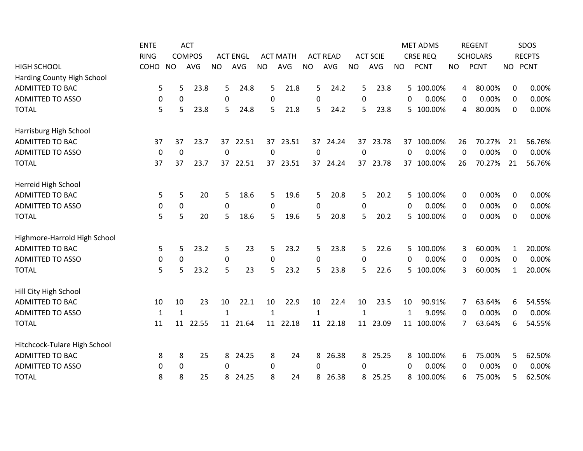|                              | <b>ENTE</b>  |              | <b>ACT</b>    |              |                 |              |                 |              |                 |                  |                 |           | <b>MET ADMS</b> |           | <b>REGENT</b>   |              | SDOS          |
|------------------------------|--------------|--------------|---------------|--------------|-----------------|--------------|-----------------|--------------|-----------------|------------------|-----------------|-----------|-----------------|-----------|-----------------|--------------|---------------|
|                              | <b>RING</b>  |              | <b>COMPOS</b> |              | <b>ACT ENGL</b> |              | <b>ACT MATH</b> |              | <b>ACT READ</b> |                  | <b>ACT SCIE</b> |           | <b>CRSE REQ</b> |           | <b>SCHOLARS</b> |              | <b>RECPTS</b> |
| <b>HIGH SCHOOL</b>           | COHO         | <b>NO</b>    | <b>AVG</b>    | <b>NO</b>    | AVG             | <b>NO</b>    | AVG             | <b>NO</b>    | AVG             | <b>NO</b>        | AVG             | <b>NO</b> | <b>PCNT</b>     | <b>NO</b> | <b>PCNT</b>     | <b>NO</b>    | <b>PCNT</b>   |
| Harding County High School   |              |              |               |              |                 |              |                 |              |                 |                  |                 |           |                 |           |                 |              |               |
| ADMITTED TO BAC              | 5            | 5            | 23.8          | 5            | 24.8            | 5            | 21.8            | 5            | 24.2            | 5                | 23.8            |           | 5 100.00%       | 4         | 80.00%          | 0            | 0.00%         |
| <b>ADMITTED TO ASSO</b>      | 0            | 0            |               | $\mathbf{0}$ |                 | 0            |                 | 0            |                 | 0                |                 | $\Omega$  | 0.00%           | 0         | 0.00%           | $\Omega$     | 0.00%         |
| <b>TOTAL</b>                 | 5            | 5            | 23.8          | 5            | 24.8            | 5            | 21.8            | 5            | 24.2            | 5                | 23.8            |           | 5 100.00%       | 4         | 80.00%          | 0            | 0.00%         |
| Harrisburg High School       |              |              |               |              |                 |              |                 |              |                 |                  |                 |           |                 |           |                 |              |               |
| <b>ADMITTED TO BAC</b>       | 37           | 37           | 23.7          | 37           | 22.51           | 37           | 23.51           | 37           | 24.24           | 37               | 23.78           |           | 37 100.00%      | 26        | 70.27%          | 21           | 56.76%        |
| <b>ADMITTED TO ASSO</b>      | $\mathbf 0$  | $\mathbf 0$  |               | $\mathbf 0$  |                 | 0            |                 | $\pmb{0}$    |                 | $\boldsymbol{0}$ |                 | 0         | 0.00%           | 0         | 0.00%           | 0            | 0.00%         |
| <b>TOTAL</b>                 | 37           | 37           | 23.7          | 37           | 22.51           | 37           | 23.51           | 37           | 24.24           | 37               | 23.78           |           | 37 100.00%      | 26        | 70.27%          | 21           | 56.76%        |
| Herreid High School          |              |              |               |              |                 |              |                 |              |                 |                  |                 |           |                 |           |                 |              |               |
| <b>ADMITTED TO BAC</b>       | 5            | 5            | 20            | 5            | 18.6            | 5            | 19.6            | 5            | 20.8            | 5                | 20.2            |           | 5 100.00%       | 0         | 0.00%           | 0            | 0.00%         |
| <b>ADMITTED TO ASSO</b>      | 0            | $\pmb{0}$    |               | 0            |                 | 0            |                 | $\pmb{0}$    |                 | $\boldsymbol{0}$ |                 | 0         | 0.00%           | 0         | 0.00%           | 0            | 0.00%         |
| <b>TOTAL</b>                 | 5            | 5            | 20            | 5            | 18.6            | 5            | 19.6            | 5            | 20.8            | 5                | 20.2            |           | 5 100.00%       | 0         | 0.00%           | 0            | 0.00%         |
| Highmore-Harrold High School |              |              |               |              |                 |              |                 |              |                 |                  |                 |           |                 |           |                 |              |               |
| <b>ADMITTED TO BAC</b>       | 5            | 5            | 23.2          | 5            | 23              | 5            | 23.2            | 5            | 23.8            | 5                | 22.6            |           | 5 100.00%       | 3         | 60.00%          | $\mathbf{1}$ | 20.00%        |
| <b>ADMITTED TO ASSO</b>      | 0            | $\mathbf 0$  |               | 0            |                 | 0            |                 | 0            |                 | $\boldsymbol{0}$ |                 | $\Omega$  | 0.00%           | 0         | 0.00%           | 0            | 0.00%         |
| <b>TOTAL</b>                 | 5            | 5            | 23.2          | 5            | 23              | 5            | 23.2            | 5            | 23.8            | 5                | 22.6            |           | 5 100.00%       | 3         | 60.00%          | $\mathbf{1}$ | 20.00%        |
| Hill City High School        |              |              |               |              |                 |              |                 |              |                 |                  |                 |           |                 |           |                 |              |               |
| <b>ADMITTED TO BAC</b>       | 10           | 10           | 23            | 10           | 22.1            | 10           | 22.9            | 10           | 22.4            | 10               | 23.5            | 10        | 90.91%          | 7         | 63.64%          | 6            | 54.55%        |
| <b>ADMITTED TO ASSO</b>      | $\mathbf{1}$ | $\mathbf{1}$ |               | $\mathbf{1}$ |                 | $\mathbf{1}$ |                 | $\mathbf{1}$ |                 | $\mathbf{1}$     |                 | 1         | 9.09%           | 0         | 0.00%           | 0            | 0.00%         |
| <b>TOTAL</b>                 | 11           | 11           | 22.55         | 11           | 21.64           | 11           | 22.18           | 11           | 22.18           | 11               | 23.09           |           | 11 100.00%      | 7         | 63.64%          | 6            | 54.55%        |
| Hitchcock-Tulare High School |              |              |               |              |                 |              |                 |              |                 |                  |                 |           |                 |           |                 |              |               |
| ADMITTED TO BAC              | 8            | 8            | 25            | 8            | 24.25           | 8            | 24              | 8            | 26.38           | 8                | 25.25           |           | 8 100.00%       | 6         | 75.00%          | 5            | 62.50%        |
| <b>ADMITTED TO ASSO</b>      | 0            | 0            |               | 0            |                 | 0            |                 | $\Omega$     |                 | 0                |                 | 0         | 0.00%           | 0         | 0.00%           | $\Omega$     | 0.00%         |
| <b>TOTAL</b>                 | 8            | 8            | 25            | 8            | 24.25           | 8            | 24              | 8            | 26.38           | 8                | 25.25           |           | 8 100.00%       | 6         | 75.00%          | 5            | 62.50%        |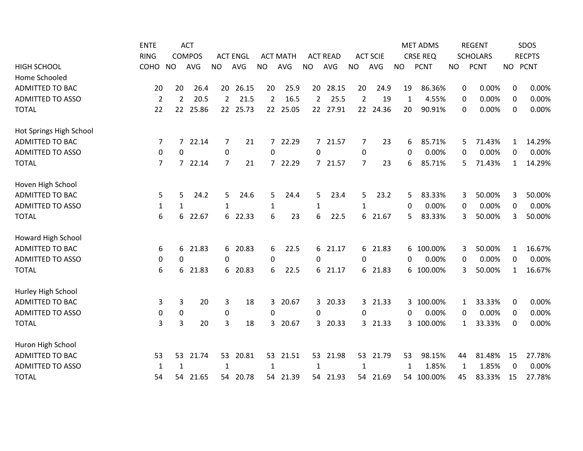|                         | <b>ENTE</b>    |                | <b>ACT</b>    |                 |                 |                |                 |                |                 |                |                 |           | <b>MET ADMS</b> |           | <b>REGENT</b>   |              | SDOS          |
|-------------------------|----------------|----------------|---------------|-----------------|-----------------|----------------|-----------------|----------------|-----------------|----------------|-----------------|-----------|-----------------|-----------|-----------------|--------------|---------------|
|                         | <b>RING</b>    |                | <b>COMPOS</b> |                 | <b>ACT ENGL</b> |                | <b>ACT MATH</b> |                | <b>ACT READ</b> |                | <b>ACT SCIE</b> |           | <b>CRSE REQ</b> |           | <b>SCHOLARS</b> |              | <b>RECPTS</b> |
| <b>HIGH SCHOOL</b>      | COHO           | <b>NO</b>      | <b>AVG</b>    | <b>NO</b>       | AVG             | <b>NO</b>      | <b>AVG</b>      | <b>NO</b>      | AVG             | <b>NO</b>      | AVG             | <b>NO</b> | <b>PCNT</b>     | <b>NO</b> | <b>PCNT</b>     |              | NO PCNT       |
| Home Schooled           |                |                |               |                 |                 |                |                 |                |                 |                |                 |           |                 |           |                 |              |               |
| <b>ADMITTED TO BAC</b>  | 20             | 20             | 26.4          | 20              | 26.15           | 20             | 25.9            |                | 20 28.15        | 20             | 24.9            | 19        | 86.36%          | 0         | 0.00%           | 0            | 0.00%         |
| <b>ADMITTED TO ASSO</b> | $\overline{2}$ | 2              | 20.5          | $\overline{2}$  | 21.5            | 2              | 16.5            | $\overline{2}$ | 25.5            | $\overline{2}$ | 19              | 1         | 4.55%           | 0         | 0.00%           | 0            | 0.00%         |
| <b>TOTAL</b>            | 22             | 22             | 25.86         | 22 <sub>2</sub> | 25.73           | 22             | 25.05           |                | 22 27.91        | 22             | 24.36           | 20        | 90.91%          | 0         | 0.00%           | 0            | 0.00%         |
| Hot Springs High School |                |                |               |                 |                 |                |                 |                |                 |                |                 |           |                 |           |                 |              |               |
| <b>ADMITTED TO BAC</b>  | 7              | $\overline{7}$ | 22.14         | 7               | 21              | $7^{\circ}$    | 22.29           | $7^{\circ}$    | 21.57           | 7              | 23              | 6         | 85.71%          | 5         | 71.43%          | 1            | 14.29%        |
| <b>ADMITTED TO ASSO</b> | 0              | 0              |               | 0               |                 | 0              |                 | 0              |                 | $\mathbf 0$    |                 | 0         | 0.00%           | 0         | 0.00%           | 0            | 0.00%         |
| <b>TOTAL</b>            | $\overline{7}$ |                | 7 22.14       | $\overline{7}$  | 21              | $\overline{7}$ | 22.29           | $7^{\circ}$    | 21.57           | 7              | 23              | 6         | 85.71%          | 5         | 71.43%          | $\mathbf{1}$ | 14.29%        |
| Hoven High School       |                |                |               |                 |                 |                |                 |                |                 |                |                 |           |                 |           |                 |              |               |
| <b>ADMITTED TO BAC</b>  | 5              | 5              | 24.2          | 5               | 24.6            | 5              | 24.4            | 5              | 23.4            | 5              | 23.2            | 5         | 83.33%          | 3         | 50.00%          | 3            | 50.00%        |
| <b>ADMITTED TO ASSO</b> | $\mathbf{1}$   | $\mathbf{1}$   |               | 1               |                 | $\mathbf{1}$   |                 | $\mathbf{1}$   |                 | 1              |                 | 0         | 0.00%           | 0         | 0.00%           | 0            | 0.00%         |
| <b>TOTAL</b>            | 6              | 6              | 22.67         | 6               | 22.33           | 6              | 23              | 6              | 22.5            | 6              | 21.67           | 5.        | 83.33%          | 3         | 50.00%          | 3            | 50.00%        |
| Howard High School      |                |                |               |                 |                 |                |                 |                |                 |                |                 |           |                 |           |                 |              |               |
| <b>ADMITTED TO BAC</b>  | 6              | 6              | 21.83         | 6               | 20.83           | 6              | 22.5            |                | 6 21.17         |                | 6 21.83         |           | 6 100.00%       | 3         | 50.00%          | 1            | 16.67%        |
| <b>ADMITTED TO ASSO</b> | 0              | 0              |               | 0               |                 | 0              |                 | 0              |                 | $\mathbf 0$    |                 | 0         | 0.00%           | 0         | 0.00%           | $\mathbf 0$  | 0.00%         |
| <b>TOTAL</b>            | 6              | 6              | 21.83         | 6               | 20.83           | 6              | 22.5            | 6              | 21.17           | 6              | 21.83           |           | 6 100.00%       | 3         | 50.00%          | $\mathbf{1}$ | 16.67%        |
| Hurley High School      |                |                |               |                 |                 |                |                 |                |                 |                |                 |           |                 |           |                 |              |               |
| <b>ADMITTED TO BAC</b>  | 3              | 3              | 20            | 3               | 18              | 3              | 20.67           |                | 3 20.33         |                | 3 21.33         |           | 3 100.00%       | 1         | 33.33%          | 0            | 0.00%         |
| <b>ADMITTED TO ASSO</b> | 0              | 0              |               | 0               |                 | 0              |                 | 0              |                 | 0              |                 | $\Omega$  | 0.00%           | 0         | 0.00%           | 0            | 0.00%         |
| <b>TOTAL</b>            | 3              | 3              | 20            | 3               | 18              | 3              | 20.67           | $\mathbf{3}$   | 20.33           |                | 3 21.33         |           | 3 100.00%       | 1         | 33.33%          | 0            | 0.00%         |
| Huron High School       |                |                |               |                 |                 |                |                 |                |                 |                |                 |           |                 |           |                 |              |               |
| <b>ADMITTED TO BAC</b>  | 53             | 53             | 21.74         | 53              | 20.81           | 53             | 21.51           | 53             | 21.98           | 53             | 21.79           | 53        | 98.15%          | 44        | 81.48%          | 15           | 27.78%        |
| <b>ADMITTED TO ASSO</b> | 1              | 1              |               | $\mathbf{1}$    |                 | 1              |                 | 1              |                 | 1              |                 | 1         | 1.85%           | 1         | 1.85%           | $\Omega$     | 0.00%         |
| <b>TOTAL</b>            | 54             | 54             | 21.65         | 54              | 20.78           | 54             | 21.39           | 54             | 21.93           | 54             | 21.69           |           | 54 100.00%      | 45        | 83.33%          | 15           | 27.78%        |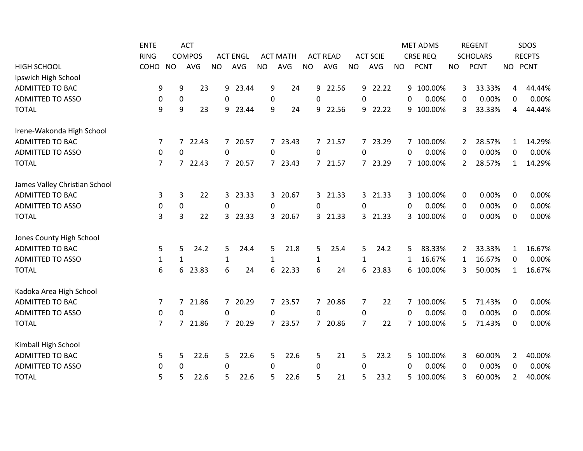|                               | <b>ENTE</b>    |                  | <b>ACT</b>    |                |                 |              |                 |                |                 |                |                 |              | <b>MET ADMS</b> |                | <b>REGENT</b>   |                | SDOS          |
|-------------------------------|----------------|------------------|---------------|----------------|-----------------|--------------|-----------------|----------------|-----------------|----------------|-----------------|--------------|-----------------|----------------|-----------------|----------------|---------------|
|                               | <b>RING</b>    |                  | <b>COMPOS</b> |                | <b>ACT ENGL</b> |              | <b>ACT MATH</b> |                | <b>ACT READ</b> |                | <b>ACT SCIE</b> |              | <b>CRSE REQ</b> |                | <b>SCHOLARS</b> |                | <b>RECPTS</b> |
| <b>HIGH SCHOOL</b>            | COHO           | <b>NO</b>        | <b>AVG</b>    | <b>NO</b>      | AVG             | <b>NO</b>    | <b>AVG</b>      | <b>NO</b>      | AVG             | <b>NO</b>      | <b>AVG</b>      | <b>NO</b>    | <b>PCNT</b>     | <b>NO</b>      | <b>PCNT</b>     | <b>NO</b>      | <b>PCNT</b>   |
| Ipswich High School           |                |                  |               |                |                 |              |                 |                |                 |                |                 |              |                 |                |                 |                |               |
| <b>ADMITTED TO BAC</b>        | 9              | 9                | 23            | 9              | 23.44           | 9            | 24              | 9              | 22.56           |                | 9 22.22         |              | 9 100.00%       | 3              | 33.33%          | 4              | 44.44%        |
| <b>ADMITTED TO ASSO</b>       | 0              | $\boldsymbol{0}$ |               | 0              |                 | 0            |                 | 0              |                 | $\Omega$       |                 | $\Omega$     | 0.00%           | 0              | 0.00%           | $\mathbf 0$    | 0.00%         |
| <b>TOTAL</b>                  | 9              | 9                | 23            | 9              | 23.44           | 9            | 24              | 9              | 22.56           | 9              | 22.22           |              | 9 100.00%       | 3              | 33.33%          | 4              | 44.44%        |
| Irene-Wakonda High School     |                |                  |               |                |                 |              |                 |                |                 |                |                 |              |                 |                |                 |                |               |
| <b>ADMITTED TO BAC</b>        | 7              | $\overline{7}$   | 22.43         |                | 7 20.57         |              | 7 23.43         |                | 7 21.57         |                | 7 23.29         |              | 7 100.00%       | $\overline{2}$ | 28.57%          | 1              | 14.29%        |
| <b>ADMITTED TO ASSO</b>       | 0              | 0                |               | 0              |                 | 0            |                 | 0              |                 | $\Omega$       |                 | 0            | 0.00%           | 0              | 0.00%           | $\mathbf 0$    | 0.00%         |
| <b>TOTAL</b>                  | $\overline{7}$ | $7^{\circ}$      | 22.43         | 7              | 20.57           |              | 7 23.43         | $7^{\circ}$    | 21.57           |                | 7 23.29         |              | 7 100.00%       | 2              | 28.57%          | $\mathbf{1}$   | 14.29%        |
| James Valley Christian School |                |                  |               |                |                 |              |                 |                |                 |                |                 |              |                 |                |                 |                |               |
| <b>ADMITTED TO BAC</b>        | 3              | $\mathbf{3}$     | 22            | 3              | 23.33           | 3            | 20.67           | $\mathbf{3}$   | 21.33           |                | 3 21.33         |              | 3 100.00%       | 0              | 0.00%           | $\mathbf 0$    | 0.00%         |
| <b>ADMITTED TO ASSO</b>       | 0              | $\boldsymbol{0}$ |               | $\mathbf 0$    |                 | 0            |                 | 0              |                 | 0              |                 | $\mathbf{0}$ | 0.00%           | 0              | 0.00%           | 0              | 0.00%         |
| <b>TOTAL</b>                  | 3              | $\overline{3}$   | 22            | 3              | 23.33           | 3            | 20.67           |                | 3 21.33         |                | 3 21.33         |              | 3 100.00%       | 0              | 0.00%           | $\mathbf 0$    | 0.00%         |
| Jones County High School      |                |                  |               |                |                 |              |                 |                |                 |                |                 |              |                 |                |                 |                |               |
| ADMITTED TO BAC               | 5              | 5                | 24.2          | 5              | 24.4            | 5            | 21.8            | 5              | 25.4            | 5              | 24.2            | 5.           | 83.33%          | 2              | 33.33%          | 1              | 16.67%        |
| <b>ADMITTED TO ASSO</b>       | $\mathbf{1}$   | $\mathbf{1}$     |               | $\mathbf 1$    |                 | $\mathbf{1}$ |                 | $\mathbf{1}$   |                 | $\mathbf{1}$   |                 | $\mathbf{1}$ | 16.67%          | 1              | 16.67%          | $\mathbf 0$    | 0.00%         |
| <b>TOTAL</b>                  | 6              | 6                | 23.83         | 6              | 24              | 6            | 22.33           | 6              | 24              | 6              | 23.83           |              | 6 100.00%       | 3              | 50.00%          | $\mathbf{1}$   | 16.67%        |
| Kadoka Area High School       |                |                  |               |                |                 |              |                 |                |                 |                |                 |              |                 |                |                 |                |               |
| <b>ADMITTED TO BAC</b>        | 7              | 7                | 21.86         |                | 7 20.29         |              | 7 23.57         | $7^{\circ}$    | 20.86           | $\overline{7}$ | 22              |              | 7 100.00%       | 5              | 71.43%          | $\mathbf 0$    | 0.00%         |
| <b>ADMITTED TO ASSO</b>       | 0              | 0                |               | $\Omega$       |                 | 0            |                 | $\Omega$       |                 | 0              |                 | 0            | 0.00%           | 0              | 0.00%           | 0              | 0.00%         |
| <b>TOTAL</b>                  | $\overline{7}$ | $\overline{7}$   | 21.86         | $\overline{7}$ | 20.29           |              | 7 23.57         | $\overline{7}$ | 20.86           | $\overline{7}$ | 22              |              | 7 100.00%       | 5              | 71.43%          | 0              | 0.00%         |
| Kimball High School           |                |                  |               |                |                 |              |                 |                |                 |                |                 |              |                 |                |                 |                |               |
| <b>ADMITTED TO BAC</b>        | 5              | 5                | 22.6          | 5              | 22.6            | 5            | 22.6            | 5              | 21              | 5              | 23.2            |              | 5 100.00%       | 3              | 60.00%          | $\overline{2}$ | 40.00%        |
| <b>ADMITTED TO ASSO</b>       | 0              | 0                |               | 0              |                 | $\mathbf{0}$ |                 | 0              |                 | $\Omega$       |                 | 0            | 0.00%           | 0              | 0.00%           | 0              | 0.00%         |
| <b>TOTAL</b>                  | 5              | 5                | 22.6          | 5              | 22.6            | 5            | 22.6            | 5              | 21              | 5              | 23.2            |              | 5 100.00%       | 3              | 60.00%          | 2              | 40.00%        |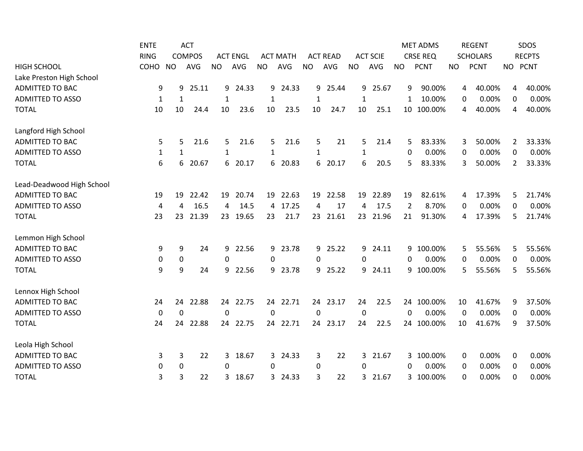|                           | <b>ENTE</b>  |           | <b>ACT</b>    |              |                 |           |                 |              |                 |              |                 |           | <b>MET ADMS</b> |             | <b>REGENT</b>   |   | SDOS          |
|---------------------------|--------------|-----------|---------------|--------------|-----------------|-----------|-----------------|--------------|-----------------|--------------|-----------------|-----------|-----------------|-------------|-----------------|---|---------------|
|                           | <b>RING</b>  |           | <b>COMPOS</b> |              | <b>ACT ENGL</b> |           | <b>ACT MATH</b> |              | <b>ACT READ</b> |              | <b>ACT SCIE</b> |           | <b>CRSE REQ</b> |             | <b>SCHOLARS</b> |   | <b>RECPTS</b> |
| <b>HIGH SCHOOL</b>        | COHO         | <b>NO</b> | <b>AVG</b>    | <b>NO</b>    | AVG             | <b>NO</b> | AVG             | <b>NO</b>    | AVG             | <b>NO</b>    | <b>AVG</b>      | <b>NO</b> | <b>PCNT</b>     | <b>NO</b>   | <b>PCNT</b>     |   | NO PCNT       |
| Lake Preston High School  |              |           |               |              |                 |           |                 |              |                 |              |                 |           |                 |             |                 |   |               |
| <b>ADMITTED TO BAC</b>    | 9            | 9         | 25.11         | 9            | 24.33           | 9         | 24.33           | 9            | 25.44           | 9            | 25.67           | 9         | 90.00%          | 4           | 40.00%          | 4 | 40.00%        |
| <b>ADMITTED TO ASSO</b>   | 1            | 1         |               | 1            |                 | 1         |                 | 1            |                 | $\mathbf{1}$ |                 | 1         | 10.00%          | 0           | 0.00%           | 0 | 0.00%         |
| <b>TOTAL</b>              | 10           | 10        | 24.4          | 10           | 23.6            | 10        | 23.5            | 10           | 24.7            | 10           | 25.1            |           | 10 100.00%      | 4           | 40.00%          | 4 | 40.00%        |
| Langford High School      |              |           |               |              |                 |           |                 |              |                 |              |                 |           |                 |             |                 |   |               |
| <b>ADMITTED TO BAC</b>    | 5            | 5         | 21.6          | 5            | 21.6            | 5.        | 21.6            | 5            | 21              | 5            | 21.4            | 5.        | 83.33%          | 3           | 50.00%          | 2 | 33.33%        |
| <b>ADMITTED TO ASSO</b>   | $\mathbf{1}$ | 1         |               | 1            |                 | 1         |                 | 1            |                 | $\mathbf{1}$ |                 | 0         | 0.00%           | 0           | 0.00%           | 0 | 0.00%         |
| <b>TOTAL</b>              | 6            | 6         | 20.67         | 6            | 20.17           | 6         | 20.83           | 6            | 20.17           | 6            | 20.5            | 5         | 83.33%          | 3           | 50.00%          | 2 | 33.33%        |
| Lead-Deadwood High School |              |           |               |              |                 |           |                 |              |                 |              |                 |           |                 |             |                 |   |               |
| <b>ADMITTED TO BAC</b>    | 19           | 19        | 22.42         | 19           | 20.74           | 19        | 22.63           | 19           | 22.58           | 19           | 22.89           | 19        | 82.61%          | 4           | 17.39%          | 5 | 21.74%        |
| <b>ADMITTED TO ASSO</b>   | 4            | 4         | 16.5          | 4            | 14.5            | 4         | 17.25           | 4            | 17              | 4            | 17.5            | 2         | 8.70%           | 0           | 0.00%           | 0 | 0.00%         |
| <b>TOTAL</b>              | 23           | 23        | 21.39         | 23           | 19.65           | 23        | 21.7            | 23           | 21.61           |              | 23 21.96        | 21        | 91.30%          | 4           | 17.39%          | 5 | 21.74%        |
| Lemmon High School        |              |           |               |              |                 |           |                 |              |                 |              |                 |           |                 |             |                 |   |               |
| <b>ADMITTED TO BAC</b>    | 9            | 9         | 24            | 9            | 22.56           | 9         | 23.78           |              | 9 25.22         |              | 9 24.11         |           | 9 100.00%       | 5           | 55.56%          | 5 | 55.56%        |
| <b>ADMITTED TO ASSO</b>   | 0            | 0         |               | 0            |                 | 0         |                 | $\mathbf{0}$ |                 | $\Omega$     |                 | $\Omega$  | 0.00%           | 0           | 0.00%           | 0 | 0.00%         |
| <b>TOTAL</b>              | 9            | 9         | 24            | 9            | 22.56           | 9         | 23.78           | 9            | 25.22           | 9            | 24.11           |           | 9 100.00%       | 5           | 55.56%          | 5 | 55.56%        |
| Lennox High School        |              |           |               |              |                 |           |                 |              |                 |              |                 |           |                 |             |                 |   |               |
| <b>ADMITTED TO BAC</b>    | 24           | 24        | 22.88         | 24           | 22.75           | 24        | 22.71           |              | 24 23.17        | 24           | 22.5            |           | 24 100.00%      | 10          | 41.67%          | 9 | 37.50%        |
| <b>ADMITTED TO ASSO</b>   | 0            | 0         |               | $\mathbf{0}$ |                 | $\Omega$  |                 | 0            |                 | $\mathbf 0$  |                 | $\Omega$  | 0.00%           | $\mathbf 0$ | 0.00%           | 0 | 0.00%         |
| <b>TOTAL</b>              | 24           | 24        | 22.88         | 24           | 22.75           | 24        | 22.71           | 24           | 23.17           | 24           | 22.5            |           | 24 100.00%      | 10          | 41.67%          | 9 | 37.50%        |
| Leola High School         |              |           |               |              |                 |           |                 |              |                 |              |                 |           |                 |             |                 |   |               |
| <b>ADMITTED TO BAC</b>    | 3            | 3         | 22            | 3            | 18.67           | 3         | 24.33           | 3            | 22              | 3            | 21.67           |           | 3 100.00%       | 0           | 0.00%           | 0 | 0.00%         |
| <b>ADMITTED TO ASSO</b>   | 0            | 0         |               | 0            |                 | 0         |                 | 0            |                 | 0            |                 | 0         | 0.00%           | $\Omega$    | 0.00%           | 0 | 0.00%         |
| <b>TOTAL</b>              | 3            | 3         | 22            | 3            | 18.67           | 3         | 24.33           | 3            | 22              | 3            | 21.67           |           | 3 100.00%       | 0           | 0.00%           | 0 | 0.00%         |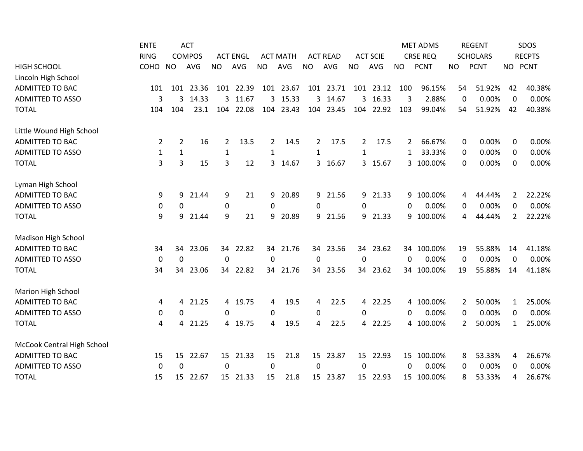|                            | <b>ENTE</b>  |              | <b>ACT</b>    |              |                 |           |                 |           |                 |                  |                 |           | <b>MET ADMS</b> |             | <b>REGENT</b>   |                | SDOS          |
|----------------------------|--------------|--------------|---------------|--------------|-----------------|-----------|-----------------|-----------|-----------------|------------------|-----------------|-----------|-----------------|-------------|-----------------|----------------|---------------|
|                            | <b>RING</b>  |              | <b>COMPOS</b> |              | <b>ACT ENGL</b> |           | <b>ACT MATH</b> |           | <b>ACT READ</b> |                  | <b>ACT SCIE</b> |           | <b>CRSE REQ</b> |             | <b>SCHOLARS</b> |                | <b>RECPTS</b> |
| <b>HIGH SCHOOL</b>         | COHO         | <b>NO</b>    | AVG           | <b>NO</b>    | AVG             | <b>NO</b> | AVG             | <b>NO</b> | AVG             | <b>NO</b>        | AVG             | <b>NO</b> | <b>PCNT</b>     | <b>NO</b>   | <b>PCNT</b>     | NO PCNT        |               |
| Lincoln High School        |              |              |               |              |                 |           |                 |           |                 |                  |                 |           |                 |             |                 |                |               |
| <b>ADMITTED TO BAC</b>     | 101          |              | 101 23.36     |              | 101 22.39       |           | 101 23.67       |           | 101 23.71       |                  | 101 23.12       | 100       | 96.15%          | 54          | 51.92%          | 42             | 40.38%        |
| <b>ADMITTED TO ASSO</b>    | 3            | 3            | 14.33         | 3            | 11.67           | 3         | 15.33           |           | 3 14.67         |                  | 3 16.33         | 3         | 2.88%           | $\mathbf 0$ | 0.00%           | 0              | 0.00%         |
| <b>TOTAL</b>               | 104          | 104          | 23.1          | 104          | 22.08           | 104       | 23.43           |           | 104 23.45       |                  | 104 22.92       | 103       | 99.04%          | 54          | 51.92%          | 42             | 40.38%        |
| Little Wound High School   |              |              |               |              |                 |           |                 |           |                 |                  |                 |           |                 |             |                 |                |               |
| ADMITTED TO BAC            | 2            | 2            | 16            | 2            | 13.5            | 2         | 14.5            | 2         | 17.5            | 2                | 17.5            | 2         | 66.67%          | 0           | 0.00%           | 0              | 0.00%         |
| <b>ADMITTED TO ASSO</b>    | $\mathbf{1}$ | $\mathbf{1}$ |               | $\mathbf{1}$ |                 | 1         |                 | 1         |                 | 1                |                 | 1         | 33.33%          | 0           | 0.00%           | 0              | 0.00%         |
| <b>TOTAL</b>               | 3            | 3            | 15            | 3            | 12              | 3         | 14.67           | 3         | 16.67           |                  | 3 15.67         |           | 3 100.00%       | 0           | 0.00%           | 0              | 0.00%         |
| Lyman High School          |              |              |               |              |                 |           |                 |           |                 |                  |                 |           |                 |             |                 |                |               |
| <b>ADMITTED TO BAC</b>     | 9            | 9            | 21.44         | 9            | 21              | 9         | 20.89           | 9         | 21.56           | 9                | 21.33           |           | 9 100.00%       | 4           | 44.44%          | $\overline{2}$ | 22.22%        |
| <b>ADMITTED TO ASSO</b>    | 0            | $\mathbf 0$  |               | 0            |                 | 0         |                 | 0         |                 | $\boldsymbol{0}$ |                 | 0         | 0.00%           | 0           | 0.00%           | 0              | 0.00%         |
| <b>TOTAL</b>               | 9            | 9            | 21.44         | 9            | 21              | 9         | 20.89           | 9         | 21.56           |                  | 9 21.33         |           | 9 100.00%       | 4           | 44.44%          | 2              | 22.22%        |
| Madison High School        |              |              |               |              |                 |           |                 |           |                 |                  |                 |           |                 |             |                 |                |               |
| <b>ADMITTED TO BAC</b>     | 34           | 34           | 23.06         |              | 34 22.82        |           | 34 21.76        |           | 34 23.56        |                  | 34 23.62        |           | 34 100.00%      | 19          | 55.88%          | 14             | 41.18%        |
| <b>ADMITTED TO ASSO</b>    | $\mathbf 0$  | $\mathbf 0$  |               | 0            |                 | 0         |                 | $\pmb{0}$ |                 | $\boldsymbol{0}$ |                 | 0         | 0.00%           | $\mathbf 0$ | 0.00%           | 0              | 0.00%         |
| <b>TOTAL</b>               | 34           | 34           | 23.06         | 34           | 22.82           | 34        | 21.76           | 34        | 23.56           | 34               | 23.62           |           | 34 100.00%      | 19          | 55.88%          | 14             | 41.18%        |
| Marion High School         |              |              |               |              |                 |           |                 |           |                 |                  |                 |           |                 |             |                 |                |               |
| <b>ADMITTED TO BAC</b>     | 4            | 4            | 21.25         |              | 4 19.75         | 4         | 19.5            | 4         | 22.5            |                  | 4 22.25         |           | 4 100.00%       | 2           | 50.00%          | 1              | 25.00%        |
| <b>ADMITTED TO ASSO</b>    | 0            | 0            |               | 0            |                 | 0         |                 | $\Omega$  |                 | 0                |                 | 0         | 0.00%           | 0           | 0.00%           | 0              | 0.00%         |
| <b>TOTAL</b>               | 4            | 4            | 21.25         | 4            | 19.75           | 4         | 19.5            | 4         | 22.5            | 4                | 22.25           |           | 4 100.00%       | 2           | 50.00%          | 1              | 25.00%        |
| McCook Central High School |              |              |               |              |                 |           |                 |           |                 |                  |                 |           |                 |             |                 |                |               |
| <b>ADMITTED TO BAC</b>     | 15           | 15           | 22.67         | 15           | 21.33           | 15        | 21.8            | 15        | 23.87           |                  | 15 22.93        |           | 15 100.00%      | 8           | 53.33%          | 4              | 26.67%        |
| <b>ADMITTED TO ASSO</b>    | 0            | $\Omega$     |               | 0            |                 | $\Omega$  |                 | 0         |                 | 0                |                 | $\Omega$  | 0.00%           | 0           | 0.00%           | 0              | 0.00%         |
| <b>TOTAL</b>               | 15           |              | 15 22.67      |              | 15 21.33        | 15        | 21.8            |           | 15 23.87        |                  | 15 22.93        |           | 15 100.00%      | 8           | 53.33%          | 4              | 26.67%        |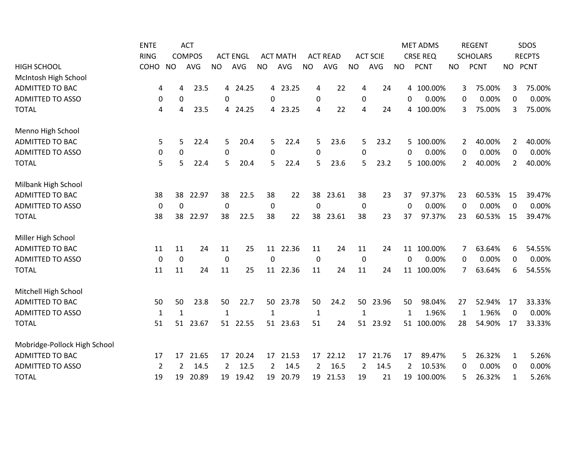|                              | <b>ENTE</b>    |             | <b>ACT</b>    |                  |                 |             |                 |                |                 |              |                 |           | <b>MET ADMS</b> |              | <b>REGENT</b>   |                | SDOS          |
|------------------------------|----------------|-------------|---------------|------------------|-----------------|-------------|-----------------|----------------|-----------------|--------------|-----------------|-----------|-----------------|--------------|-----------------|----------------|---------------|
|                              | <b>RING</b>    |             | <b>COMPOS</b> |                  | <b>ACT ENGL</b> |             | <b>ACT MATH</b> |                | <b>ACT READ</b> |              | <b>ACT SCIE</b> |           | <b>CRSE REQ</b> |              | <b>SCHOLARS</b> |                | <b>RECPTS</b> |
| <b>HIGH SCHOOL</b>           | COHO           | <b>NO</b>   | <b>AVG</b>    | <b>NO</b>        | AVG             | <b>NO</b>   | AVG             | <b>NO</b>      | AVG             | <b>NO</b>    | <b>AVG</b>      | <b>NO</b> | <b>PCNT</b>     | <b>NO</b>    | <b>PCNT</b>     | NO PCNT        |               |
| McIntosh High School         |                |             |               |                  |                 |             |                 |                |                 |              |                 |           |                 |              |                 |                |               |
| <b>ADMITTED TO BAC</b>       | 4              | 4           | 23.5          | 4                | 24.25           |             | 4 23.25         | 4              | 22              | 4            | 24              |           | 4 100.00%       | 3            | 75.00%          | 3              | 75.00%        |
| <b>ADMITTED TO ASSO</b>      | 0              | $\pmb{0}$   |               | 0                |                 | 0           |                 | $\mathbf 0$    |                 | $\mathbf 0$  |                 | 0         | 0.00%           | 0            | 0.00%           | 0              | 0.00%         |
| <b>TOTAL</b>                 | 4              | 4           | 23.5          | 4                | 24.25           |             | 4 23.25         | 4              | 22              | 4            | 24              |           | 4 100.00%       | 3            | 75.00%          | 3              | 75.00%        |
| Menno High School            |                |             |               |                  |                 |             |                 |                |                 |              |                 |           |                 |              |                 |                |               |
| <b>ADMITTED TO BAC</b>       | 5              | 5           | 22.4          | 5                | 20.4            | 5.          | 22.4            | 5              | 23.6            | 5            | 23.2            |           | 5 100.00%       | $\mathbf{2}$ | 40.00%          | $\overline{2}$ | 40.00%        |
| <b>ADMITTED TO ASSO</b>      | 0              | 0           |               | $\boldsymbol{0}$ |                 | 0           |                 | $\mathbf 0$    |                 | $\mathbf 0$  |                 | 0         | 0.00%           | 0            | 0.00%           | 0              | 0.00%         |
| <b>TOTAL</b>                 | 5              | 5           | 22.4          | 5                | 20.4            | 5           | 22.4            | 5              | 23.6            | 5            | 23.2            |           | 5 100.00%       | 2            | 40.00%          | 2              | 40.00%        |
| Milbank High School          |                |             |               |                  |                 |             |                 |                |                 |              |                 |           |                 |              |                 |                |               |
| <b>ADMITTED TO BAC</b>       | 38             | 38          | 22.97         | 38               | 22.5            | 38          | 22              | 38             | 23.61           | 38           | 23              | 37        | 97.37%          | 23           | 60.53%          | 15             | 39.47%        |
| <b>ADMITTED TO ASSO</b>      | $\mathbf 0$    | $\mathbf 0$ |               | $\mathbf 0$      |                 | $\mathbf 0$ |                 | $\mathbf 0$    |                 | $\mathbf 0$  |                 | 0         | 0.00%           | $\mathbf 0$  | 0.00%           | 0              | 0.00%         |
| <b>TOTAL</b>                 | 38             | 38          | 22.97         | 38               | 22.5            | 38          | 22              | 38             | 23.61           | 38           | 23              | 37        | 97.37%          | 23           | 60.53%          | 15             | 39.47%        |
| Miller High School           |                |             |               |                  |                 |             |                 |                |                 |              |                 |           |                 |              |                 |                |               |
| <b>ADMITTED TO BAC</b>       | 11             | 11          | 24            | 11               | 25              |             | 11 22.36        | 11             | 24              | 11           | 24              |           | 11 100.00%      | 7            | 63.64%          | 6              | 54.55%        |
| <b>ADMITTED TO ASSO</b>      | $\mathbf 0$    | 0           |               | 0                |                 | $\Omega$    |                 | $\mathbf 0$    |                 | $\mathbf 0$  |                 | $\Omega$  | 0.00%           | 0            | 0.00%           | 0              | 0.00%         |
| <b>TOTAL</b>                 | 11             | 11          | 24            | 11               | 25              | 11          | 22.36           | 11             | 24              | 11           | 24              |           | 11 100.00%      | 7            | 63.64%          | 6              | 54.55%        |
| Mitchell High School         |                |             |               |                  |                 |             |                 |                |                 |              |                 |           |                 |              |                 |                |               |
| <b>ADMITTED TO BAC</b>       | 50             | 50          | 23.8          | 50               | 22.7            | 50          | 23.78           | 50             | 24.2            | 50           | 23.96           | 50        | 98.04%          | 27           | 52.94%          | 17             | 33.33%        |
| <b>ADMITTED TO ASSO</b>      | $\mathbf{1}$   | 1           |               | $\mathbf{1}$     |                 | 1           |                 | $\mathbf{1}$   |                 | $\mathbf{1}$ |                 | 1         | 1.96%           | 1            | 1.96%           | 0              | 0.00%         |
| <b>TOTAL</b>                 | 51             | 51          | 23.67         | 51               | 22.55           |             | 51 23.63        | 51             | 24              | 51           | 23.92           |           | 51 100.00%      | 28           | 54.90%          | 17             | 33.33%        |
| Mobridge-Pollock High School |                |             |               |                  |                 |             |                 |                |                 |              |                 |           |                 |              |                 |                |               |
| <b>ADMITTED TO BAC</b>       | 17             | 17          | 21.65         | 17               | 20.24           | 17          | 21.53           | 17             | 22.12           | 17           | 21.76           | 17        | 89.47%          | 5            | 26.32%          | $\mathbf{1}$   | 5.26%         |
| <b>ADMITTED TO ASSO</b>      | $\overline{2}$ | 2           | 14.5          | 2                | 12.5            | 2           | 14.5            | $\overline{2}$ | 16.5            | 2            | 14.5            | 2         | 10.53%          | 0            | 0.00%           | 0              | 0.00%         |
| <b>TOTAL</b>                 | 19             | 19          | 20.89         | 19               | 19.42           | 19          | 20.79           | 19             | 21.53           | 19           | 21              | 19        | 100.00%         | 5            | 26.32%          | 1              | 5.26%         |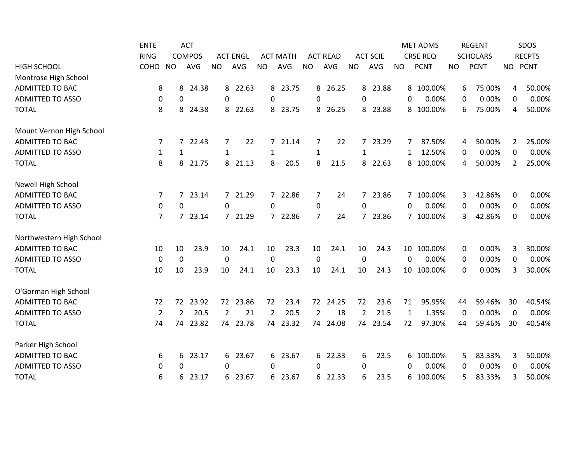|                          | <b>ENTE</b>    |                  | <b>ACT</b>    |                |                 |             |                 |                |                 |                |                 |              | <b>MET ADMS</b> |             | <b>REGENT</b>   |                | SDOS          |
|--------------------------|----------------|------------------|---------------|----------------|-----------------|-------------|-----------------|----------------|-----------------|----------------|-----------------|--------------|-----------------|-------------|-----------------|----------------|---------------|
|                          | <b>RING</b>    |                  | <b>COMPOS</b> |                | <b>ACT ENGL</b> |             | <b>ACT MATH</b> |                | <b>ACT READ</b> |                | <b>ACT SCIE</b> |              | <b>CRSE REQ</b> |             | <b>SCHOLARS</b> |                | <b>RECPTS</b> |
| <b>HIGH SCHOOL</b>       | COHO           | <b>NO</b>        | <b>AVG</b>    | <b>NO</b>      | AVG             | <b>NO</b>   | AVG             | <b>NO</b>      | AVG             | <b>NO</b>      | <b>AVG</b>      | <b>NO</b>    | <b>PCNT</b>     | <b>NO</b>   | <b>PCNT</b>     | NO PCNT        |               |
| Montrose High School     |                |                  |               |                |                 |             |                 |                |                 |                |                 |              |                 |             |                 |                |               |
| <b>ADMITTED TO BAC</b>   | 8              | 8                | 24.38         | 8              | 22.63           |             | 8 23.75         | 8              | 26.25           |                | 8 23.88         |              | 8 100.00%       | 6           | 75.00%          | 4              | 50.00%        |
| <b>ADMITTED TO ASSO</b>  | $\mathbf 0$    | $\mathbf 0$      |               | 0              |                 | 0           |                 | 0              |                 | 0              |                 | 0            | 0.00%           | 0           | 0.00%           | 0              | 0.00%         |
| <b>TOTAL</b>             | 8              | 8                | 24.38         | 8              | 22.63           | 8           | 23.75           | 8              | 26.25           | 8              | 23.88           |              | 8 100.00%       | 6           | 75.00%          | 4              | 50.00%        |
| Mount Vernon High School |                |                  |               |                |                 |             |                 |                |                 |                |                 |              |                 |             |                 |                |               |
| <b>ADMITTED TO BAC</b>   | $\overline{7}$ | $7^{\circ}$      | 22.43         | 7              | 22              | $7^{\circ}$ | 21.14           | $\overline{7}$ | 22              | $7^{\circ}$    | 23.29           | 7            | 87.50%          | 4           | 50.00%          | $\overline{2}$ | 25.00%        |
| <b>ADMITTED TO ASSO</b>  | $\mathbf{1}$   | 1                |               | 1              |                 | 1           |                 | $\mathbf{1}$   |                 | 1              |                 | 1            | 12.50%          | 0           | 0.00%           | 0              | 0.00%         |
| <b>TOTAL</b>             | 8              | 8                | 21.75         | 8              | 21.13           | 8           | 20.5            | 8              | 21.5            | 8              | 22.63           |              | 8 100.00%       | 4           | 50.00%          | 2              | 25.00%        |
| Newell High School       |                |                  |               |                |                 |             |                 |                |                 |                |                 |              |                 |             |                 |                |               |
| <b>ADMITTED TO BAC</b>   | 7              | $7^{\circ}$      | 23.14         |                | 7 21.29         |             | 7 22.86         | 7              | 24              |                | 7 23.86         |              | 7 100.00%       | 3           | 42.86%          | 0              | 0.00%         |
| <b>ADMITTED TO ASSO</b>  | 0              | $\boldsymbol{0}$ |               | 0              |                 | 0           |                 | $\mathbf 0$    |                 | 0              |                 | $\mathbf{0}$ | 0.00%           | 0           | 0.00%           | 0              | 0.00%         |
| <b>TOTAL</b>             | 7              |                  | 7 23.14       |                | 7 21.29         |             | 7 22.86         | $\overline{7}$ | 24              |                | 7 23.86         |              | 7 100.00%       | 3           | 42.86%          | 0              | 0.00%         |
| Northwestern High School |                |                  |               |                |                 |             |                 |                |                 |                |                 |              |                 |             |                 |                |               |
| <b>ADMITTED TO BAC</b>   | 10             | 10               | 23.9          | 10             | 24.1            | 10          | 23.3            | 10             | 24.1            | 10             | 24.3            |              | 10 100.00%      | $\mathbf 0$ | 0.00%           | 3              | 30.00%        |
| <b>ADMITTED TO ASSO</b>  | $\mathbf 0$    | $\mathbf 0$      |               | 0              |                 | 0           |                 | $\mathbf 0$    |                 | $\mathbf 0$    |                 | $\Omega$     | 0.00%           | 0           | 0.00%           | $\mathbf 0$    | 0.00%         |
| <b>TOTAL</b>             | 10             | 10               | 23.9          | 10             | 24.1            | 10          | 23.3            | 10             | 24.1            | 10             | 24.3            |              | 10 100.00%      | 0           | 0.00%           | 3              | 30.00%        |
| O'Gorman High School     |                |                  |               |                |                 |             |                 |                |                 |                |                 |              |                 |             |                 |                |               |
| <b>ADMITTED TO BAC</b>   | 72             | 72               | 23.92         | 72             | 23.86           | 72          | 23.4            | 72             | 24.25           | 72             | 23.6            | 71           | 95.95%          | 44          | 59.46%          | 30             | 40.54%        |
| <b>ADMITTED TO ASSO</b>  | $\overline{2}$ | 2                | 20.5          | $\overline{2}$ | 21              | 2           | 20.5            | $\overline{2}$ | 18              | $\overline{2}$ | 21.5            | 1            | 1.35%           | 0           | 0.00%           | $\Omega$       | 0.00%         |
| <b>TOTAL</b>             | 74             | 74               | 23.82         | 74             | 23.78           | 74          | 23.32           | 74             | 24.08           | 74             | 23.54           | 72           | 97.30%          | 44          | 59.46%          | 30             | 40.54%        |
| Parker High School       |                |                  |               |                |                 |             |                 |                |                 |                |                 |              |                 |             |                 |                |               |
| <b>ADMITTED TO BAC</b>   | 6              | 6                | 23.17         | 6              | 23.67           |             | 6 23.67         | 6              | 22.33           | 6              | 23.5            |              | 6 100.00%       | 5           | 83.33%          | 3              | 50.00%        |
| <b>ADMITTED TO ASSO</b>  | 0              | 0                |               | 0              |                 | 0           |                 | 0              |                 | 0              |                 | $\Omega$     | 0.00%           | 0           | 0.00%           | 0              | 0.00%         |
| <b>TOTAL</b>             | 6              | 6                | 23.17         |                | 6 23.67         |             | 6 23.67         |                | 6 22.33         | 6              | 23.5            |              | 6 100.00%       | 5           | 83.33%          | 3              | 50.00%        |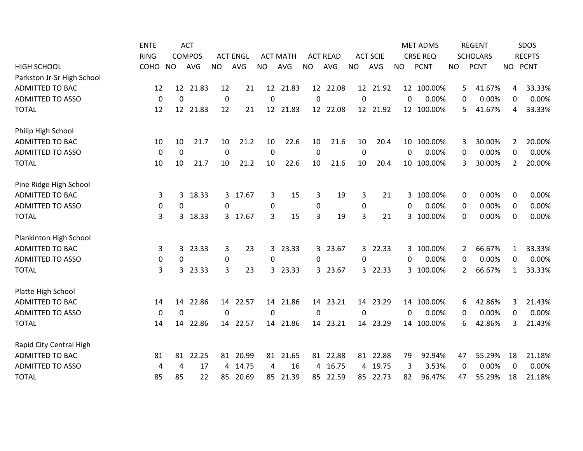|                            | <b>ENTE</b> |             | <b>ACT</b>    |           |                 |           |                 |                |                 |                  |                 |           | <b>MET ADMS</b> |                | <b>REGENT</b>   |           | <b>SDOS</b>   |
|----------------------------|-------------|-------------|---------------|-----------|-----------------|-----------|-----------------|----------------|-----------------|------------------|-----------------|-----------|-----------------|----------------|-----------------|-----------|---------------|
|                            | <b>RING</b> |             | <b>COMPOS</b> |           | <b>ACT ENGL</b> |           | <b>ACT MATH</b> |                | <b>ACT READ</b> |                  | <b>ACT SCIE</b> |           | <b>CRSE REQ</b> |                | <b>SCHOLARS</b> |           | <b>RECPTS</b> |
| <b>HIGH SCHOOL</b>         | COHO        | <b>NO</b>   | <b>AVG</b>    | <b>NO</b> | <b>AVG</b>      | <b>NO</b> | <b>AVG</b>      | <b>NO</b>      | AVG             | <b>NO</b>        | <b>AVG</b>      | <b>NO</b> | <b>PCNT</b>     | <b>NO</b>      | <b>PCNT</b>     | <b>NO</b> | <b>PCNT</b>   |
| Parkston Jr-Sr High School |             |             |               |           |                 |           |                 |                |                 |                  |                 |           |                 |                |                 |           |               |
| ADMITTED TO BAC            | 12          |             | 12 21.83      | 12        | 21              |           | 12 21.83        |                | 12 22.08        |                  | 12 21.92        |           | 12 100.00%      | 5              | 41.67%          | 4         | 33.33%        |
| <b>ADMITTED TO ASSO</b>    | $\mathbf 0$ | $\mathbf 0$ |               | 0         |                 | 0         |                 | $\pmb{0}$      |                 | $\boldsymbol{0}$ |                 | 0         | 0.00%           | 0              | 0.00%           | 0         | 0.00%         |
| <b>TOTAL</b>               | 12          |             | 12 21.83      | 12        | 21              |           | 12 21.83        |                | 12 22.08        |                  | 12 21.92        |           | 12 100.00%      | 5              | 41.67%          | 4         | 33.33%        |
| Philip High School         |             |             |               |           |                 |           |                 |                |                 |                  |                 |           |                 |                |                 |           |               |
| <b>ADMITTED TO BAC</b>     | 10          | 10          | 21.7          | 10        | 21.2            | 10        | 22.6            | 10             | 21.6            | 10               | 20.4            |           | 10 100.00%      | 3              | 30.00%          | 2         | 20.00%        |
| <b>ADMITTED TO ASSO</b>    | 0           | 0           |               | 0         |                 | $\Omega$  |                 | 0              |                 | 0                |                 | $\Omega$  | 0.00%           | 0              | 0.00%           | 0         | 0.00%         |
| <b>TOTAL</b>               | 10          | 10          | 21.7          | 10        | 21.2            | 10        | 22.6            | 10             | 21.6            | 10               | 20.4            |           | 10 100.00%      | 3              | 30.00%          | 2         | 20.00%        |
| Pine Ridge High School     |             |             |               |           |                 |           |                 |                |                 |                  |                 |           |                 |                |                 |           |               |
| <b>ADMITTED TO BAC</b>     | 3           | 3           | 18.33         | 3         | 17.67           | 3         | 15              | 3              | 19              | 3                | 21              |           | 3 100.00%       | 0              | 0.00%           | 0         | 0.00%         |
| <b>ADMITTED TO ASSO</b>    | 0           | 0           |               | 0         |                 | 0         |                 | $\pmb{0}$      |                 | $\pmb{0}$        |                 | 0         | 0.00%           | 0              | 0.00%           | 0         | 0.00%         |
| <b>TOTAL</b>               | 3           | 3           | 18.33         | 3         | 17.67           | 3         | 15              | 3              | 19              | 3                | 21              |           | 3 100.00%       | 0              | 0.00%           | 0         | 0.00%         |
| Plankinton High School     |             |             |               |           |                 |           |                 |                |                 |                  |                 |           |                 |                |                 |           |               |
| <b>ADMITTED TO BAC</b>     | 3           | 3           | 23.33         | 3         | 23              | 3         | 23.33           |                | 3 23.67         |                  | 3 22.33         |           | 3 100.00%       | $\overline{2}$ | 66.67%          | 1         | 33.33%        |
| <b>ADMITTED TO ASSO</b>    | 0           | 0           |               | 0         |                 | 0         |                 | $\Omega$       |                 | $\Omega$         |                 | $\Omega$  | 0.00%           | 0              | 0.00%           | 0         | 0.00%         |
| <b>TOTAL</b>               | 3           | 3           | 23.33         | 3         | 23              | 3         | 23.33           | 3 <sup>1</sup> | 23.67           |                  | 3 22.33         |           | 3 100.00%       | 2              | 66.67%          | 1         | 33.33%        |
| Platte High School         |             |             |               |           |                 |           |                 |                |                 |                  |                 |           |                 |                |                 |           |               |
| <b>ADMITTED TO BAC</b>     | 14          | 14          | 22.86         | 14        | 22.57           | 14        | 21.86           |                | 14 23.21        |                  | 14 23.29        |           | 14 100.00%      | 6              | 42.86%          | 3         | 21.43%        |
| <b>ADMITTED TO ASSO</b>    | 0           | 0           |               | $\Omega$  |                 | $\Omega$  |                 | $\Omega$       |                 | $\Omega$         |                 | $\Omega$  | 0.00%           | 0              | 0.00%           | 0         | 0.00%         |
| <b>TOTAL</b>               | 14          | 14          | 22.86         | 14        | 22.57           | 14        | 21.86           | 14             | 23.21           | 14               | 23.29           |           | 14 100.00%      | 6              | 42.86%          | 3         | 21.43%        |
| Rapid City Central High    |             |             |               |           |                 |           |                 |                |                 |                  |                 |           |                 |                |                 |           |               |
| <b>ADMITTED TO BAC</b>     | 81          | 81          | 22.25         | 81        | 20.99           | 81        | 21.65           |                | 81 22.88        |                  | 81 22.88        | 79        | 92.94%          | 47             | 55.29%          | 18        | 21.18%        |
| <b>ADMITTED TO ASSO</b>    | 4           | 4           | 17            | 4         | 14.75           | 4         | 16              | 4              | 16.75           |                  | 4 19.75         | 3         | 3.53%           | 0              | 0.00%           | $\Omega$  | 0.00%         |
| <b>TOTAL</b>               | 85          | 85          | 22            | 85        | 20.69           | 85        | 21.39           |                | 85 22.59        |                  | 85 22.73        | 82        | 96.47%          | 47             | 55.29%          | 18        | 21.18%        |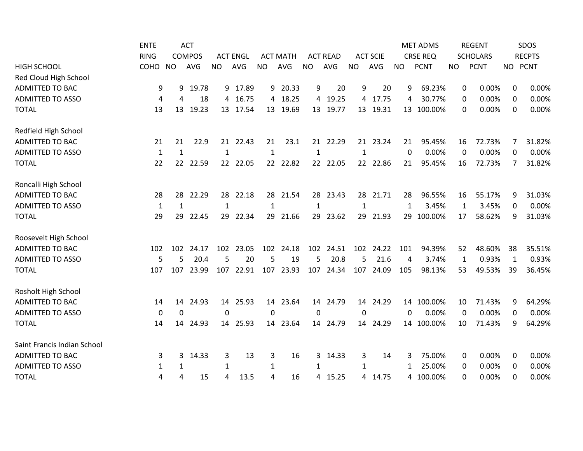|                             | <b>ENTE</b>  |              | <b>ACT</b>    |              |                 |              |                 |                |                 |              |                 |           | <b>MET ADMS</b> |           | <b>REGENT</b>   |              | <b>SDOS</b>   |
|-----------------------------|--------------|--------------|---------------|--------------|-----------------|--------------|-----------------|----------------|-----------------|--------------|-----------------|-----------|-----------------|-----------|-----------------|--------------|---------------|
|                             | <b>RING</b>  |              | <b>COMPOS</b> |              | <b>ACT ENGL</b> |              | <b>ACT MATH</b> |                | <b>ACT READ</b> |              | <b>ACT SCIE</b> |           | <b>CRSE REQ</b> |           | <b>SCHOLARS</b> |              | <b>RECPTS</b> |
| <b>HIGH SCHOOL</b>          | COHO         | <b>NO</b>    | <b>AVG</b>    | <b>NO</b>    | AVG             | <b>NO</b>    | <b>AVG</b>      | <b>NO</b>      | AVG             | <b>NO</b>    | <b>AVG</b>      | <b>NO</b> | <b>PCNT</b>     | <b>NO</b> | <b>PCNT</b>     | <b>NO</b>    | <b>PCNT</b>   |
| Red Cloud High School       |              |              |               |              |                 |              |                 |                |                 |              |                 |           |                 |           |                 |              |               |
| <b>ADMITTED TO BAC</b>      | 9            | 9            | 19.78         |              | 9 17.89         |              | 9 20.33         | 9              | 20              | 9            | 20              | 9         | 69.23%          | 0         | 0.00%           | 0            | 0.00%         |
| <b>ADMITTED TO ASSO</b>     | 4            | 4            | 18            | 4            | 16.75           | 4            | 18.25           | $\overline{4}$ | 19.25           | 4            | 17.75           | 4         | 30.77%          | 0         | 0.00%           | $\Omega$     | 0.00%         |
| <b>TOTAL</b>                | 13           | 13           | 19.23         | 13           | 17.54           | 13           | 19.69           | 13             | 19.77           |              | 13 19.31        |           | 13 100.00%      | 0         | 0.00%           | 0            | 0.00%         |
| Redfield High School        |              |              |               |              |                 |              |                 |                |                 |              |                 |           |                 |           |                 |              |               |
| <b>ADMITTED TO BAC</b>      | 21           | 21           | 22.9          | 21           | 22.43           | 21           | 23.1            |                | 21 22.29        |              | 21 23.24        | 21        | 95.45%          | 16        | 72.73%          | 7            | 31.82%        |
| <b>ADMITTED TO ASSO</b>     | $\mathbf{1}$ | $\mathbf{1}$ |               | $\mathbf{1}$ |                 | 1            |                 | $\mathbf{1}$   |                 | $\mathbf{1}$ |                 | 0         | 0.00%           | 0         | 0.00%           | 0            | 0.00%         |
| <b>TOTAL</b>                | 22           | 22           | 22.59         | 22           | 22.05           |              | 22 22.82        |                | 22 22.05        | 22           | 22.86           | 21        | 95.45%          | 16        | 72.73%          | 7            | 31.82%        |
| Roncalli High School        |              |              |               |              |                 |              |                 |                |                 |              |                 |           |                 |           |                 |              |               |
| <b>ADMITTED TO BAC</b>      | 28           | 28           | 22.29         | 28           | 22.18           | 28           | 21.54           | 28             | 23.43           |              | 28 21.71        | 28        | 96.55%          | 16        | 55.17%          | 9            | 31.03%        |
| <b>ADMITTED TO ASSO</b>     | $\mathbf{1}$ | $\mathbf{1}$ |               | $\mathbf{1}$ |                 | 1            |                 | $\mathbf{1}$   |                 | 1            |                 | 1         | 3.45%           | 1         | 3.45%           | 0            | 0.00%         |
| <b>TOTAL</b>                | 29           | 29           | 22.45         | 29           | 22.34           | 29           | 21.66           | 29             | 23.62           | 29           | 21.93           |           | 29 100.00%      | 17        | 58.62%          | 9            | 31.03%        |
| Roosevelt High School       |              |              |               |              |                 |              |                 |                |                 |              |                 |           |                 |           |                 |              |               |
| <b>ADMITTED TO BAC</b>      | 102          | 102          | 24.17         |              | 102 23.05       |              | 102 24.18       |                | 102 24.51       |              | 102 24.22       | 101       | 94.39%          | 52        | 48.60%          | 38           | 35.51%        |
| <b>ADMITTED TO ASSO</b>     | 5            | 5            | 20.4          | 5            | 20              | 5            | 19              | 5              | 20.8            | 5            | 21.6            | 4         | 3.74%           | 1         | 0.93%           | $\mathbf{1}$ | 0.93%         |
| <b>TOTAL</b>                | 107          | 107          | 23.99         | 107          | 22.91           | 107          | 23.93           | 107            | 24.34           | 107          | 24.09           | 105       | 98.13%          | 53        | 49.53%          | 39           | 36.45%        |
| Rosholt High School         |              |              |               |              |                 |              |                 |                |                 |              |                 |           |                 |           |                 |              |               |
| ADMITTED TO BAC             | 14           | 14           | 24.93         |              | 14 25.93        | 14           | 23.64           |                | 14 24.79        |              | 14 24.29        |           | 14 100.00%      | 10        | 71.43%          | 9            | 64.29%        |
| <b>ADMITTED TO ASSO</b>     | $\mathbf 0$  | 0            |               | $\Omega$     |                 | $\mathbf{0}$ |                 | 0              |                 | 0            |                 | $\Omega$  | 0.00%           | 0         | 0.00%           | 0            | 0.00%         |
| <b>TOTAL</b>                | 14           | 14           | 24.93         | 14           | 25.93           | 14           | 23.64           | 14             | 24.79           | 14           | 24.29           |           | 14 100.00%      | 10        | 71.43%          | 9            | 64.29%        |
| Saint Francis Indian School |              |              |               |              |                 |              |                 |                |                 |              |                 |           |                 |           |                 |              |               |
| <b>ADMITTED TO BAC</b>      | 3            | 3            | 14.33         | 3            | 13              | 3            | 16              | 3              | 14.33           | 3            | 14              | 3         | 75.00%          | 0         | 0.00%           | 0            | 0.00%         |
| <b>ADMITTED TO ASSO</b>     | 1            | 1            |               | 1            |                 | $\mathbf{1}$ |                 | 1              |                 | 1            |                 | 1         | 25.00%          | 0         | 0.00%           | $\Omega$     | 0.00%         |
| <b>TOTAL</b>                | 4            | 4            | 15            | 4            | 13.5            | 4            | 16              | 4              | 15.25           |              | 4 14.75         |           | 4 100.00%       | 0         | 0.00%           | 0            | 0.00%         |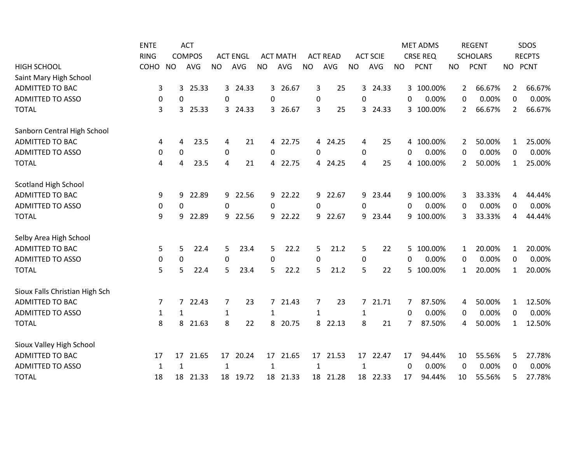|                                | <b>ENTE</b> |                  | <b>ACT</b>    |              |                 |              |                 |              |                 |           |                 |                | <b>MET ADMS</b> |                | <b>REGENT</b>   |                | SDOS          |
|--------------------------------|-------------|------------------|---------------|--------------|-----------------|--------------|-----------------|--------------|-----------------|-----------|-----------------|----------------|-----------------|----------------|-----------------|----------------|---------------|
|                                | <b>RING</b> |                  | <b>COMPOS</b> |              | <b>ACT ENGL</b> |              | <b>ACT MATH</b> |              | <b>ACT READ</b> |           | <b>ACT SCIE</b> |                | <b>CRSE REQ</b> |                | <b>SCHOLARS</b> |                | <b>RECPTS</b> |
| <b>HIGH SCHOOL</b>             | COHO        | <b>NO</b>        | <b>AVG</b>    | <b>NO</b>    | AVG             | <b>NO</b>    | <b>AVG</b>      | <b>NO</b>    | AVG             | <b>NO</b> | AVG             | <b>NO</b>      | <b>PCNT</b>     | <b>NO</b>      | <b>PCNT</b>     |                | NO PCNT       |
| Saint Mary High School         |             |                  |               |              |                 |              |                 |              |                 |           |                 |                |                 |                |                 |                |               |
| ADMITTED TO BAC                | 3           | 3                | 25.33         |              | 3 24.33         | $\mathbf{3}$ | 26.67           | 3            | 25              |           | 3 24.33         |                | 3 100.00%       | $\overline{2}$ | 66.67%          | $\overline{2}$ | 66.67%        |
| <b>ADMITTED TO ASSO</b>        | 0           | 0                |               | 0            |                 | 0            |                 | 0            |                 | $\Omega$  |                 | $\Omega$       | 0.00%           | 0              | 0.00%           | $\Omega$       | 0.00%         |
| <b>TOTAL</b>                   | 3           | 3                | 25.33         | 3            | 24.33           | 3            | 26.67           | 3            | 25              | 3         | 24.33           |                | 3 100.00%       | 2              | 66.67%          | 2              | 66.67%        |
| Sanborn Central High School    |             |                  |               |              |                 |              |                 |              |                 |           |                 |                |                 |                |                 |                |               |
| <b>ADMITTED TO BAC</b>         | 4           | 4                | 23.5          | 4            | 21              |              | 4 22.75         |              | 4 24.25         | 4         | 25              |                | 4 100.00%       | 2              | 50.00%          | 1              | 25.00%        |
| <b>ADMITTED TO ASSO</b>        | 0           | 0                |               | 0            |                 | 0            |                 | $\mathbf{0}$ |                 | 0         |                 | $\Omega$       | 0.00%           | 0              | 0.00%           | 0              | 0.00%         |
| <b>TOTAL</b>                   | 4           | 4                | 23.5          | 4            | 21              | 4            | 22.75           | 4            | 24.25           | 4         | 25              |                | 4 100.00%       | 2              | 50.00%          | 1              | 25.00%        |
| <b>Scotland High School</b>    |             |                  |               |              |                 |              |                 |              |                 |           |                 |                |                 |                |                 |                |               |
| <b>ADMITTED TO BAC</b>         | 9           | 9                | 22.89         | 9            | 22.56           | 9            | 22.22           | 9            | 22.67           | 9         | 23.44           |                | 9 100.00%       | 3              | 33.33%          | 4              | 44.44%        |
| <b>ADMITTED TO ASSO</b>        | 0           | $\boldsymbol{0}$ |               | $\mathbf 0$  |                 | 0            |                 | $\mathbf{0}$ |                 | 0         |                 | $\Omega$       | 0.00%           | 0              | 0.00%           | 0              | 0.00%         |
| <b>TOTAL</b>                   | 9           | 9                | 22.89         | 9            | 22.56           | 9            | 22.22           | 9            | 22.67           |           | 9 23.44         |                | 9 100.00%       | 3              | 33.33%          | 4              | 44.44%        |
| Selby Area High School         |             |                  |               |              |                 |              |                 |              |                 |           |                 |                |                 |                |                 |                |               |
| <b>ADMITTED TO BAC</b>         | 5           | 5                | 22.4          | 5            | 23.4            | 5            | 22.2            | 5            | 21.2            | 5         | 22              |                | 5 100.00%       | $\mathbf{1}$   | 20.00%          | 1              | 20.00%        |
| <b>ADMITTED TO ASSO</b>        | $\pmb{0}$   | $\mathbf 0$      |               | $\mathbf 0$  |                 | 0            |                 | $\mathbf 0$  |                 | $\pmb{0}$ |                 | $\Omega$       | 0.00%           | 0              | 0.00%           | 0              | 0.00%         |
| <b>TOTAL</b>                   | 5           | 5                | 22.4          | 5            | 23.4            | 5            | 22.2            | 5            | 21.2            | 5         | 22              |                | 5 100.00%       | 1              | 20.00%          | 1              | 20.00%        |
| Sioux Falls Christian High Sch |             |                  |               |              |                 |              |                 |              |                 |           |                 |                |                 |                |                 |                |               |
| <b>ADMITTED TO BAC</b>         | 7           | $\overline{7}$   | 22.43         | 7            | 23              |              | 7 21.43         | 7            | 23              |           | 7 21.71         | $\overline{7}$ | 87.50%          | 4              | 50.00%          | 1              | 12.50%        |
| <b>ADMITTED TO ASSO</b>        | 1           | 1                |               | 1            |                 | 1            |                 | $\mathbf{1}$ |                 | 1         |                 | $\Omega$       | 0.00%           | 0              | 0.00%           | 0              | 0.00%         |
| <b>TOTAL</b>                   | 8           | 8                | 21.63         | 8            | 22              | 8            | 20.75           | 8            | 22.13           | 8         | 21              | 7              | 87.50%          | 4              | 50.00%          | 1              | 12.50%        |
| Sioux Valley High School       |             |                  |               |              |                 |              |                 |              |                 |           |                 |                |                 |                |                 |                |               |
| <b>ADMITTED TO BAC</b>         | 17          | 17               | 21.65         | 17           | 20.24           | 17           | 21.65           | 17           | 21.53           | 17        | 22.47           | 17             | 94.44%          | 10             | 55.56%          | 5              | 27.78%        |
| <b>ADMITTED TO ASSO</b>        | 1           | 1                |               | $\mathbf{1}$ |                 | $\mathbf 1$  |                 | $\mathbf{1}$ |                 | 1         |                 | $\Omega$       | 0.00%           | 0              | 0.00%           | $\Omega$       | 0.00%         |
| <b>TOTAL</b>                   | 18          | 18               | 21.33         | 18           | 19.72           |              | 18 21.33        | 18           | 21.28           | 18        | 22.33           | 17             | 94.44%          | 10             | 55.56%          | 5              | 27.78%        |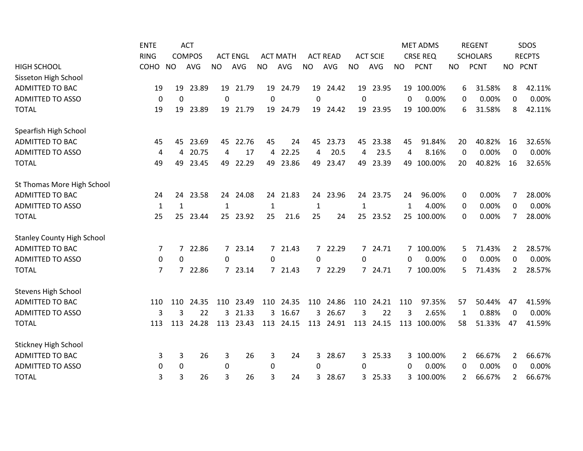|                                   | <b>ENTE</b>  |             | <b>ACT</b>    |              |                 |             |                 |              |                 |              |                 |           | <b>MET ADMS</b> |    | <b>REGENT</b>   |             | <b>SDOS</b>   |
|-----------------------------------|--------------|-------------|---------------|--------------|-----------------|-------------|-----------------|--------------|-----------------|--------------|-----------------|-----------|-----------------|----|-----------------|-------------|---------------|
|                                   | <b>RING</b>  |             | <b>COMPOS</b> |              | <b>ACT ENGL</b> |             | <b>ACT MATH</b> |              | <b>ACT READ</b> |              | <b>ACT SCIE</b> |           | <b>CRSE REQ</b> |    | <b>SCHOLARS</b> |             | <b>RECPTS</b> |
| <b>HIGH SCHOOL</b>                | COHO         | <b>NO</b>   | AVG           | <b>NO</b>    | AVG             | <b>NO</b>   | <b>AVG</b>      | <b>NO</b>    | <b>AVG</b>      | <b>NO</b>    | AVG             | <b>NO</b> | <b>PCNT</b>     | NO | <b>PCNT</b>     | NO PCNT     |               |
| Sisseton High School              |              |             |               |              |                 |             |                 |              |                 |              |                 |           |                 |    |                 |             |               |
| ADMITTED TO BAC                   | 19           | 19          | 23.89         |              | 19 21.79        | 19          | 24.79           |              | 19 24.42        |              | 19 23.95        |           | 19 100.00%      | 6  | 31.58%          | 8           | 42.11%        |
| <b>ADMITTED TO ASSO</b>           | 0            | 0           |               | 0            |                 | $\mathbf 0$ |                 | $\pmb{0}$    |                 | $\mathbf 0$  |                 | 0         | 0.00%           | 0  | 0.00%           | 0           | 0.00%         |
| <b>TOTAL</b>                      | 19           | 19          | 23.89         | 19           | 21.79           | 19          | 24.79           | 19           | 24.42           | 19           | 23.95           |           | 19 100.00%      | 6  | 31.58%          | 8           | 42.11%        |
| Spearfish High School             |              |             |               |              |                 |             |                 |              |                 |              |                 |           |                 |    |                 |             |               |
| <b>ADMITTED TO BAC</b>            | 45           | 45          | 23.69         | 45           | 22.76           | 45          | 24              | 45           | 23.73           | 45           | 23.38           | 45        | 91.84%          | 20 | 40.82%          | 16          | 32.65%        |
| <b>ADMITTED TO ASSO</b>           | 4            | 4           | 20.75         | 4            | 17              | 4           | 22.25           | 4            | 20.5            | 4            | 23.5            | 4         | 8.16%           | 0  | 0.00%           | $\Omega$    | 0.00%         |
| <b>TOTAL</b>                      | 49           | 49          | 23.45         | 49           | 22.29           | 49          | 23.86           | 49           | 23.47           | 49           | 23.39           | 49        | 100.00%         | 20 | 40.82%          | 16          | 32.65%        |
| St Thomas More High School        |              |             |               |              |                 |             |                 |              |                 |              |                 |           |                 |    |                 |             |               |
| <b>ADMITTED TO BAC</b>            | 24           | 24          | 23.58         | 24           | 24.08           | 24          | 21.83           |              | 24 23.96        |              | 24 23.75        | 24        | 96.00%          | 0  | 0.00%           | 7           | 28.00%        |
| <b>ADMITTED TO ASSO</b>           | $\mathbf{1}$ | 1           |               | $\mathbf{1}$ |                 | 1           |                 | $\mathbf{1}$ |                 | $\mathbf{1}$ |                 | 1         | 4.00%           | 0  | 0.00%           | $\mathbf 0$ | 0.00%         |
| <b>TOTAL</b>                      | 25           |             | 25 23.44      | 25           | 23.92           | 25          | 21.6            | 25           | 24              |              | 25 23.52        |           | 25 100.00%      | 0  | 0.00%           | 7           | 28.00%        |
| <b>Stanley County High School</b> |              |             |               |              |                 |             |                 |              |                 |              |                 |           |                 |    |                 |             |               |
| <b>ADMITTED TO BAC</b>            | 7            |             | 7 22.86       |              | 7 23.14         |             | 7 21.43         |              | 7 22.29         |              | 7 24.71         |           | 7 100.00%       | 5  | 71.43%          | 2           | 28.57%        |
| <b>ADMITTED TO ASSO</b>           | 0            | 0           |               | $\Omega$     |                 | $\Omega$    |                 | $\mathbf{0}$ |                 | $\Omega$     |                 | $\Omega$  | 0.00%           | 0  | 0.00%           | 0           | 0.00%         |
| <b>TOTAL</b>                      | 7            | $7^{\circ}$ | 22.86         |              | 7 23.14         |             | 7 21.43         |              | 7 22.29         |              | 7 24.71         |           | 7 100.00%       | 5. | 71.43%          | 2           | 28.57%        |
| <b>Stevens High School</b>        |              |             |               |              |                 |             |                 |              |                 |              |                 |           |                 |    |                 |             |               |
| <b>ADMITTED TO BAC</b>            | 110          | 110         | 24.35         | 110          | 23.49           | 110         | 24.35           | 110          | 24.86           | 110          | 24.21           | 110       | 97.35%          | 57 | 50.44%          | 47          | 41.59%        |
| <b>ADMITTED TO ASSO</b>           | 3            | 3           | 22            |              | 3 21.33         | 3           | 16.67           | 3            | 26.67           | 3            | 22              | 3         | 2.65%           | 1  | 0.88%           | $\Omega$    | 0.00%         |
| <b>TOTAL</b>                      | 113          | 113         | 24.28         | 113          | 23.43           | 113         | 24.15           |              | 113 24.91       |              | 113 24.15       | 113       | 100.00%         | 58 | 51.33%          | 47          | 41.59%        |
| <b>Stickney High School</b>       |              |             |               |              |                 |             |                 |              |                 |              |                 |           |                 |    |                 |             |               |
| <b>ADMITTED TO BAC</b>            | 3            | 3           | 26            | 3            | 26              | 3           | 24              | 3            | 28.67           |              | 3 25.33         |           | 3 100.00%       | 2  | 66.67%          | 2           | 66.67%        |
| <b>ADMITTED TO ASSO</b>           | 0            | 0           |               | 0            |                 | 0           |                 | $\Omega$     |                 | 0            |                 | 0         | 0.00%           | 0  | 0.00%           | 0           | 0.00%         |
| <b>TOTAL</b>                      | 3            | 3           | 26            | 3            | 26              | 3           | 24              | 3.           | 28.67           |              | 3 25.33         |           | 3 100.00%       | 2  | 66.67%          | 2           | 66.67%        |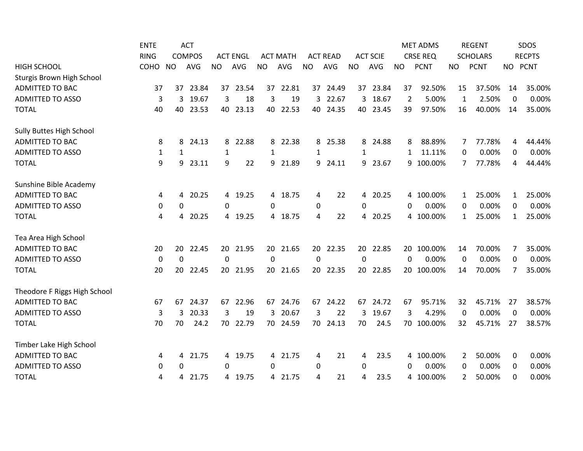|                                 | <b>ENTE</b>  |              | <b>ACT</b>    |           |                 |           |                 |              |                 |           |                 |              | <b>MET ADMS</b> |              | <b>REGENT</b>   |              | <b>SDOS</b>   |
|---------------------------------|--------------|--------------|---------------|-----------|-----------------|-----------|-----------------|--------------|-----------------|-----------|-----------------|--------------|-----------------|--------------|-----------------|--------------|---------------|
|                                 | <b>RING</b>  |              | <b>COMPOS</b> |           | <b>ACT ENGL</b> |           | <b>ACT MATH</b> |              | <b>ACT READ</b> |           | <b>ACT SCIE</b> |              | <b>CRSE REQ</b> |              | <b>SCHOLARS</b> |              | <b>RECPTS</b> |
| <b>HIGH SCHOOL</b>              | COHO         | <b>NO</b>    | <b>AVG</b>    | <b>NO</b> | <b>AVG</b>      | <b>NO</b> | <b>AVG</b>      | <b>NO</b>    | AVG             | <b>NO</b> | <b>AVG</b>      | <b>NO</b>    | <b>PCNT</b>     | <b>NO</b>    | <b>PCNT</b>     | <b>NO</b>    | <b>PCNT</b>   |
| Sturgis Brown High School       |              |              |               |           |                 |           |                 |              |                 |           |                 |              |                 |              |                 |              |               |
| ADMITTED TO BAC                 | 37           |              | 37 23.84      |           | 37 23.54        | 37        | 22.81           |              | 37 24.49        |           | 37 23.84        | 37           | 92.50%          | 15           | 37.50%          | 14           | 35.00%        |
| <b>ADMITTED TO ASSO</b>         | 3            | 3            | 19.67         | 3         | 18              | 3         | 19              | 3            | 22.67           | 3         | 18.67           | 2            | 5.00%           | 1            | 2.50%           | 0            | 0.00%         |
| <b>TOTAL</b>                    | 40           | 40           | 23.53         | 40        | 23.13           | 40        | 22.53           | 40           | 24.35           | 40        | 23.45           | 39           | 97.50%          | 16           | 40.00%          | 14           | 35.00%        |
| <b>Sully Buttes High School</b> |              |              |               |           |                 |           |                 |              |                 |           |                 |              |                 |              |                 |              |               |
| <b>ADMITTED TO BAC</b>          | 8            | 8            | 24.13         | 8         | 22.88           | 8         | 22.38           | 8            | 25.38           | 8         | 24.88           | 8            | 88.89%          | 7            | 77.78%          | 4            | 44.44%        |
| <b>ADMITTED TO ASSO</b>         | $\mathbf{1}$ | $\mathbf{1}$ |               | 1         |                 | 1         |                 | $\mathbf{1}$ |                 | 1         |                 | $\mathbf{1}$ | 11.11%          | 0            | 0.00%           | $\Omega$     | 0.00%         |
| <b>TOTAL</b>                    | 9            | 9            | 23.11         | 9         | 22              | 9         | 21.89           | 9            | 24.11           | 9         | 23.67           | 9            | 100.00%         | 7            | 77.78%          | 4            | 44.44%        |
| Sunshine Bible Academy          |              |              |               |           |                 |           |                 |              |                 |           |                 |              |                 |              |                 |              |               |
| <b>ADMITTED TO BAC</b>          | 4            | 4            | 20.25         | 4         | 19.25           |           | 4 18.75         | 4            | 22              | 4         | 20.25           |              | 4 100.00%       | $\mathbf{1}$ | 25.00%          | $\mathbf{1}$ | 25.00%        |
| <b>ADMITTED TO ASSO</b>         | 0            | 0            |               | 0         |                 | 0         |                 | $\mathbf 0$  |                 | $\pmb{0}$ |                 | 0            | 0.00%           | 0            | 0.00%           | 0            | 0.00%         |
| <b>TOTAL</b>                    | 4            | 4            | 20.25         | 4         | 19.25           |           | 4 18.75         | 4            | 22              |           | 4 20.25         |              | 4 100.00%       | 1            | 25.00%          | $\mathbf{1}$ | 25.00%        |
| Tea Area High School            |              |              |               |           |                 |           |                 |              |                 |           |                 |              |                 |              |                 |              |               |
| <b>ADMITTED TO BAC</b>          | 20           | 20           | 22.45         |           | 20 21.95        | 20        | 21.65           |              | 20 22.35        |           | 20 22.85        |              | 20 100.00%      | 14           | 70.00%          | 7            | 35.00%        |
| <b>ADMITTED TO ASSO</b>         | $\mathbf 0$  | $\mathbf 0$  |               | 0         |                 | 0         |                 | 0            |                 | 0         |                 | 0            | 0.00%           | 0            | 0.00%           | 0            | 0.00%         |
| <b>TOTAL</b>                    | 20           | 20           | 22.45         | 20        | 21.95           | 20        | 21.65           | 20           | 22.35           | 20        | 22.85           |              | 20 100.00%      | 14           | 70.00%          | 7            | 35.00%        |
| Theodore F Riggs High School    |              |              |               |           |                 |           |                 |              |                 |           |                 |              |                 |              |                 |              |               |
| <b>ADMITTED TO BAC</b>          | 67           | 67           | 24.37         | 67        | 22.96           | 67        | 24.76           | 67           | 24.22           | 67        | 24.72           | 67           | 95.71%          | 32           | 45.71%          | 27           | 38.57%        |
| <b>ADMITTED TO ASSO</b>         | 3            | 3            | 20.33         | 3         | 19              | 3         | 20.67           | 3            | 22              | 3         | 19.67           | 3            | 4.29%           | 0            | 0.00%           | $\Omega$     | 0.00%         |
| <b>TOTAL</b>                    | 70           | 70           | 24.2          | 70        | 22.79           | 70        | 24.59           | 70           | 24.13           | 70        | 24.5            |              | 70 100.00%      | 32           | 45.71%          | 27           | 38.57%        |
| Timber Lake High School         |              |              |               |           |                 |           |                 |              |                 |           |                 |              |                 |              |                 |              |               |
| <b>ADMITTED TO BAC</b>          | 4            | 4            | 21.75         | 4         | 19.75           |           | 4 21.75         | 4            | 21              | 4         | 23.5            |              | 4 100.00%       | 2            | 50.00%          | 0            | 0.00%         |
| <b>ADMITTED TO ASSO</b>         | 0            | 0            |               | 0         |                 | 0         |                 | $\mathbf 0$  |                 | 0         |                 | $\Omega$     | 0.00%           | 0            | 0.00%           | 0            | 0.00%         |
| <b>TOTAL</b>                    | 4            | 4            | 21.75         |           | 4 19.75         |           | 4 21.75         | 4            | 21              | 4         | 23.5            |              | 4 100.00%       | 2            | 50.00%          | 0            | 0.00%         |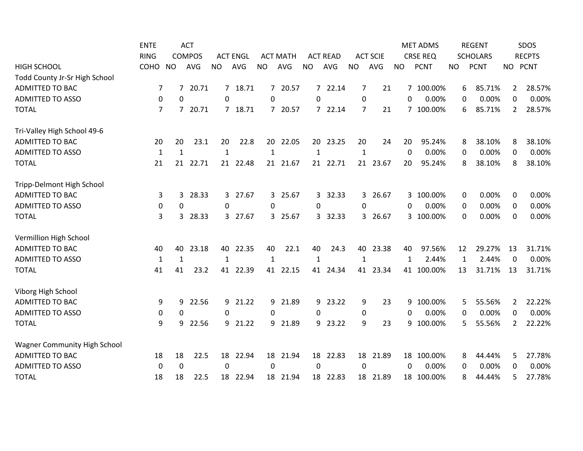|                                     | <b>ENTE</b>    |                  | <b>ACT</b>    |              |                 |           |                 |                |                 |              |                 |              | <b>MET ADMS</b> |             | <b>REGENT</b>   |                | SDOS          |
|-------------------------------------|----------------|------------------|---------------|--------------|-----------------|-----------|-----------------|----------------|-----------------|--------------|-----------------|--------------|-----------------|-------------|-----------------|----------------|---------------|
|                                     | <b>RING</b>    |                  | <b>COMPOS</b> |              | <b>ACT ENGL</b> |           | <b>ACT MATH</b> |                | <b>ACT READ</b> |              | <b>ACT SCIE</b> |              | <b>CRSE REQ</b> |             | <b>SCHOLARS</b> |                | <b>RECPTS</b> |
| <b>HIGH SCHOOL</b>                  | COHO           | <b>NO</b>        | <b>AVG</b>    | <b>NO</b>    | <b>AVG</b>      | <b>NO</b> | <b>AVG</b>      | <b>NO</b>      | AVG             | <b>NO</b>    | AVG             | <b>NO</b>    | <b>PCNT</b>     | <b>NO</b>   | <b>PCNT</b>     |                | NO PCNT       |
| Todd County Jr-Sr High School       |                |                  |               |              |                 |           |                 |                |                 |              |                 |              |                 |             |                 |                |               |
| <b>ADMITTED TO BAC</b>              | 7              | $7^{\circ}$      | 20.71         |              | 7 18.71         |           | 7 20.57         |                | 7 22.14         | 7            | 21              |              | 7 100.00%       | 6           | 85.71%          | $\overline{2}$ | 28.57%        |
| <b>ADMITTED TO ASSO</b>             | 0              | 0                |               | 0            |                 | 0         |                 | 0              |                 | 0            |                 | $\Omega$     | 0.00%           | 0           | 0.00%           | 0              | 0.00%         |
| <b>TOTAL</b>                        | $\overline{7}$ | $7^{\circ}$      | 20.71         |              | 7 18.71         |           | 7 20.57         |                | 7 22.14         | 7            | 21              |              | 7 100.00%       | 6           | 85.71%          | 2              | 28.57%        |
| Tri-Valley High School 49-6         |                |                  |               |              |                 |           |                 |                |                 |              |                 |              |                 |             |                 |                |               |
| <b>ADMITTED TO BAC</b>              | 20             | 20               | 23.1          | 20           | 22.8            | 20        | 22.05           | 20             | 23.25           | 20           | 24              | 20           | 95.24%          | 8           | 38.10%          | 8              | 38.10%        |
| <b>ADMITTED TO ASSO</b>             | $\mathbf{1}$   | $\mathbf{1}$     |               | $\mathbf{1}$ |                 | 1         |                 | $\mathbf{1}$   |                 | $\mathbf{1}$ |                 | $\mathbf{0}$ | 0.00%           | 0           | 0.00%           | 0              | 0.00%         |
| <b>TOTAL</b>                        | 21             | 21               | 22.71         | 21           | 22.48           | 21        | 21.67           | 21             | 22.71           | 21           | 23.67           | 20           | 95.24%          | 8           | 38.10%          | 8              | 38.10%        |
| Tripp-Delmont High School           |                |                  |               |              |                 |           |                 |                |                 |              |                 |              |                 |             |                 |                |               |
| <b>ADMITTED TO BAC</b>              | 3              | 3                | 28.33         | 3            | 27.67           | 3         | 25.67           | 3 <sup>1</sup> | 32.33           | 3            | 26.67           |              | 3 100.00%       | $\mathbf 0$ | 0.00%           | $\mathbf 0$    | 0.00%         |
| <b>ADMITTED TO ASSO</b>             | 0              | $\boldsymbol{0}$ |               | $\mathbf 0$  |                 | 0         |                 | 0              |                 | $\mathbf 0$  |                 | $\Omega$     | 0.00%           | 0           | 0.00%           | 0              | 0.00%         |
| <b>TOTAL</b>                        | 3              | 3                | 28.33         |              | 3 27.67         |           | 3 25.67         |                | 3 32.33         |              | 3 26.67         |              | 3 100.00%       | $\Omega$    | 0.00%           | $\Omega$       | 0.00%         |
| Vermillion High School              |                |                  |               |              |                 |           |                 |                |                 |              |                 |              |                 |             |                 |                |               |
| <b>ADMITTED TO BAC</b>              | 40             | 40               | 23.18         | 40           | 22.35           | 40        | 22.1            | 40             | 24.3            |              | 40 23.38        | 40           | 97.56%          | 12          | 29.27%          | 13             | 31.71%        |
| <b>ADMITTED TO ASSO</b>             | $\mathbf{1}$   | $\mathbf{1}$     |               | 1            |                 | 1         |                 | $\mathbf{1}$   |                 | $\mathbf{1}$ |                 | 1            | 2.44%           | 1           | 2.44%           | $\Omega$       | 0.00%         |
| <b>TOTAL</b>                        | 41             | 41               | 23.2          | 41           | 22.39           | 41        | 22.15           | 41             | 24.34           | 41           | 23.34           |              | 41 100.00%      | 13          | 31.71%          | 13             | 31.71%        |
| Viborg High School                  |                |                  |               |              |                 |           |                 |                |                 |              |                 |              |                 |             |                 |                |               |
| <b>ADMITTED TO BAC</b>              | 9              | 9                | 22.56         | 9            | 21.22           | 9         | 21.89           | 9              | 23.22           | 9            | 23              | 9            | 100.00%         | 5           | 55.56%          | 2              | 22.22%        |
| <b>ADMITTED TO ASSO</b>             | 0              | 0                |               | 0            |                 | 0         |                 | 0              |                 | 0            |                 | $\Omega$     | 0.00%           | 0           | 0.00%           | 0              | 0.00%         |
| <b>TOTAL</b>                        | 9              | 9                | 22.56         | 9            | 21.22           | 9         | 21.89           | 9              | 23.22           | 9            | 23              |              | 9 100.00%       | 5           | 55.56%          | 2              | 22.22%        |
| <b>Wagner Community High School</b> |                |                  |               |              |                 |           |                 |                |                 |              |                 |              |                 |             |                 |                |               |
| <b>ADMITTED TO BAC</b>              | 18             | 18               | 22.5          | 18           | 22.94           | 18        | 21.94           | 18             | 22.83           | 18           | 21.89           |              | 18 100.00%      | 8           | 44.44%          | 5              | 27.78%        |
| <b>ADMITTED TO ASSO</b>             | 0              | 0                |               | $\Omega$     |                 | $\Omega$  |                 | 0              |                 | $\Omega$     |                 | 0            | 0.00%           | 0           | 0.00%           | 0              | 0.00%         |
| <b>TOTAL</b>                        | 18             | 18               | 22.5          | 18           | 22.94           |           | 18 21.94        |                | 18 22.83        | 18           | 21.89           |              | 18 100.00%      | 8           | 44.44%          | 5              | 27.78%        |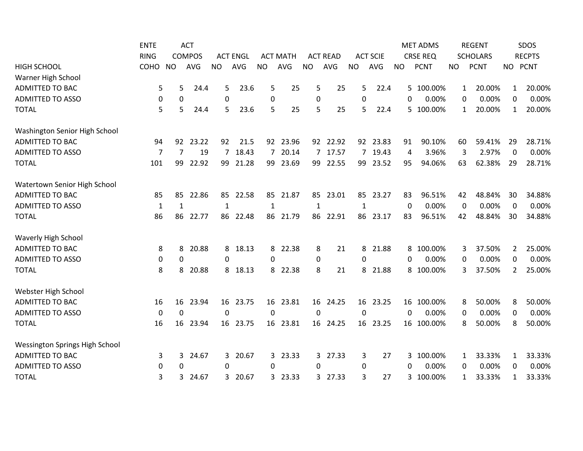|                                       | <b>ENTE</b> |              | <b>ACT</b>    |              |                 |                |                 |                  |                 |              |                 |           | <b>MET ADMS</b> |              | <b>REGENT</b>   |         | SDOS          |
|---------------------------------------|-------------|--------------|---------------|--------------|-----------------|----------------|-----------------|------------------|-----------------|--------------|-----------------|-----------|-----------------|--------------|-----------------|---------|---------------|
|                                       | <b>RING</b> |              | <b>COMPOS</b> |              | <b>ACT ENGL</b> |                | <b>ACT MATH</b> |                  | <b>ACT READ</b> |              | <b>ACT SCIE</b> |           | <b>CRSE REQ</b> |              | <b>SCHOLARS</b> |         | <b>RECPTS</b> |
| <b>HIGH SCHOOL</b>                    | COHO        | <b>NO</b>    | <b>AVG</b>    | <b>NO</b>    | AVG             | <b>NO</b>      | AVG             | <b>NO</b>        | AVG             | <b>NO</b>    | AVG             | <b>NO</b> | <b>PCNT</b>     | <b>NO</b>    | <b>PCNT</b>     | NO PCNT |               |
| Warner High School                    |             |              |               |              |                 |                |                 |                  |                 |              |                 |           |                 |              |                 |         |               |
| <b>ADMITTED TO BAC</b>                | 5           | 5            | 24.4          | 5            | 23.6            | 5              | 25              | 5                | 25              | 5            | 22.4            |           | 5 100.00%       | $\mathbf{1}$ | 20.00%          | 1       | 20.00%        |
| <b>ADMITTED TO ASSO</b>               | 0           | 0            |               | $\Omega$     |                 | 0              |                 | $\boldsymbol{0}$ |                 | $\Omega$     |                 | $\Omega$  | 0.00%           | 0            | 0.00%           | 0       | 0.00%         |
| <b>TOTAL</b>                          | 5           | 5            | 24.4          | 5            | 23.6            | 5              | 25              | 5                | 25              | 5            | 22.4            |           | 5 100.00%       | 1            | 20.00%          | 1       | 20.00%        |
| Washington Senior High School         |             |              |               |              |                 |                |                 |                  |                 |              |                 |           |                 |              |                 |         |               |
| ADMITTED TO BAC                       | 94          | 92           | 23.22         | 92           | 21.5            |                | 92 23.96        |                  | 92 22.92        | 92           | 23.83           | 91        | 90.10%          | 60           | 59.41%          | 29      | 28.71%        |
| <b>ADMITTED TO ASSO</b>               | 7           | 7            | 19            | 7            | 18.43           | $\overline{7}$ | 20.14           |                  | 7 17.57         |              | 7 19.43         | 4         | 3.96%           | 3            | 2.97%           | 0       | 0.00%         |
| <b>TOTAL</b>                          | 101         | 99           | 22.92         | 99           | 21.28           | 99             | 23.69           | 99               | 22.55           | 99           | 23.52           | 95        | 94.06%          | 63           | 62.38%          | 29      | 28.71%        |
| Watertown Senior High School          |             |              |               |              |                 |                |                 |                  |                 |              |                 |           |                 |              |                 |         |               |
| <b>ADMITTED TO BAC</b>                | 85          | 85           | 22.86         | 85           | 22.58           | 85             | 21.87           | 85               | 23.01           | 85           | 23.27           | 83        | 96.51%          | 42           | 48.84%          | 30      | 34.88%        |
| <b>ADMITTED TO ASSO</b>               | 1           | 1            |               | $\mathbf{1}$ |                 | 1              |                 | $\mathbf{1}$     |                 | $\mathbf{1}$ |                 | 0         | 0.00%           | $\mathbf 0$  | 0.00%           | 0       | 0.00%         |
| <b>TOTAL</b>                          | 86          | 86           | 22.77         | 86           | 22.48           | 86             | 21.79           | 86               | 22.91           | 86           | 23.17           | 83        | 96.51%          | 42           | 48.84%          | 30      | 34.88%        |
| Waverly High School                   |             |              |               |              |                 |                |                 |                  |                 |              |                 |           |                 |              |                 |         |               |
| <b>ADMITTED TO BAC</b>                | 8           | 8            | 20.88         | 8            | 18.13           |                | 8 22.38         | 8                | 21              | 8            | 21.88           |           | 8 100.00%       | 3            | 37.50%          | 2       | 25.00%        |
| <b>ADMITTED TO ASSO</b>               | 0           | 0            |               | 0            |                 | 0              |                 | $\mathbf 0$      |                 | 0            |                 | $\Omega$  | 0.00%           | 0            | 0.00%           | 0       | 0.00%         |
| <b>TOTAL</b>                          | 8           | 8            | 20.88         | 8            | 18.13           | 8              | 22.38           | 8                | 21              | 8            | 21.88           |           | 8 100.00%       | 3            | 37.50%          | 2       | 25.00%        |
| Webster High School                   |             |              |               |              |                 |                |                 |                  |                 |              |                 |           |                 |              |                 |         |               |
| <b>ADMITTED TO BAC</b>                | 16          | 16           | 23.94         |              | 16 23.75        |                | 16 23.81        |                  | 16 24.25        |              | 16 23.25        |           | 16 100.00%      | 8            | 50.00%          | 8       | 50.00%        |
| <b>ADMITTED TO ASSO</b>               | 0           | 0            |               | $\mathbf{0}$ |                 | $\Omega$       |                 | 0                |                 | $\Omega$     |                 | 0         | 0.00%           | 0            | 0.00%           | 0       | 0.00%         |
| <b>TOTAL</b>                          | 16          | 16           | 23.94         | 16           | 23.75           | 16             | 23.81           | 16               | 24.25           | 16           | 23.25           |           | 16 100.00%      | 8            | 50.00%          | 8       | 50.00%        |
| <b>Wessington Springs High School</b> |             |              |               |              |                 |                |                 |                  |                 |              |                 |           |                 |              |                 |         |               |
| <b>ADMITTED TO BAC</b>                | 3           | 3            | 24.67         | 3            | 20.67           | 3              | 23.33           | 3                | 27.33           | 3            | 27              |           | 3 100.00%       | 1            | 33.33%          | 1       | 33.33%        |
| <b>ADMITTED TO ASSO</b>               | 0           | $\mathbf{0}$ |               | 0            |                 | 0              |                 | 0                |                 | 0            |                 | 0         | 0.00%           | 0            | 0.00%           | 0       | 0.00%         |
| <b>TOTAL</b>                          | 3           | 3            | 24.67         | 3.           | 20.67           | 3              | 23.33           | 3                | 27.33           | 3            | 27              | 3         | 100.00%         | 1            | 33.33%          | 1       | 33.33%        |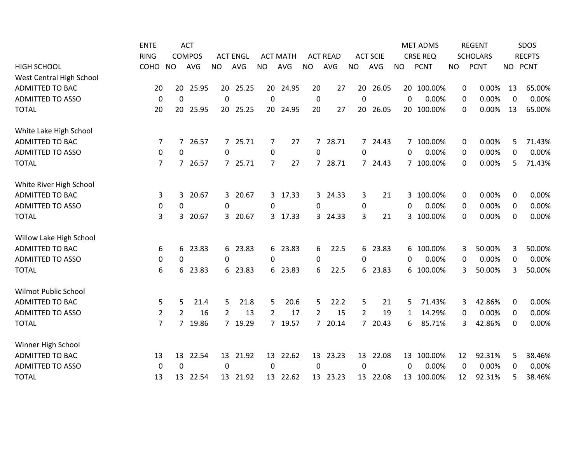|                          | <b>ENTE</b>    | <b>ACT</b><br><b>RING</b><br><b>COMPOS</b> |            |                 |          |                 |          |                  |          |                 |            | <b>MET ADMS</b><br><b>CRSE REQ</b> |             | <b>REGENT</b><br><b>SCHOLARS</b> |             | SDOS<br><b>RECPTS</b> |         |
|--------------------------|----------------|--------------------------------------------|------------|-----------------|----------|-----------------|----------|------------------|----------|-----------------|------------|------------------------------------|-------------|----------------------------------|-------------|-----------------------|---------|
| <b>HIGH SCHOOL</b>       |                |                                            |            | <b>ACT ENGL</b> |          | <b>ACT MATH</b> |          | <b>ACT READ</b>  |          | <b>ACT SCIE</b> |            |                                    |             |                                  |             |                       |         |
|                          | COHO           | <b>NO</b>                                  | <b>AVG</b> | <b>NO</b>       | AVG      | <b>NO</b>       | AVG      | <b>NO</b>        | AVG      | <b>NO</b>       | <b>AVG</b> | <b>NO</b>                          | <b>PCNT</b> | <b>NO</b>                        | <b>PCNT</b> |                       | NO PCNT |
| West Central High School |                |                                            |            |                 |          |                 |          |                  |          |                 |            |                                    |             |                                  |             |                       |         |
| <b>ADMITTED TO BAC</b>   | 20             | 20                                         | 25.95      | 20              | 25.25    | 20              | 24.95    | 20               | 27       | 20              | 26.05      |                                    | 20 100.00%  | 0                                | 0.00%       | 13                    | 65.00%  |
| <b>ADMITTED TO ASSO</b>  | 0              | 0                                          |            | $\mathbf{0}$    |          | $\mathbf{0}$    |          | $\boldsymbol{0}$ |          | $\Omega$        |            | $\Omega$                           | 0.00%       | 0                                | 0.00%       | $\theta$              | 0.00%   |
| <b>TOTAL</b>             | 20             | 20                                         | 25.95      | 20              | 25.25    | 20              | 24.95    | 20               | 27       | 20              | 26.05      |                                    | 20 100.00%  | 0                                | 0.00%       | 13                    | 65.00%  |
| White Lake High School   |                |                                            |            |                 |          |                 |          |                  |          |                 |            |                                    |             |                                  |             |                       |         |
| <b>ADMITTED TO BAC</b>   | 7              | $7^{\circ}$                                | 26.57      | $7^{\circ}$     | 25.71    | 7               | 27       | $7^{\circ}$      | 28.71    |                 | 7 24.43    |                                    | 7 100.00%   | 0                                | 0.00%       | 5                     | 71.43%  |
| <b>ADMITTED TO ASSO</b>  | 0              | 0                                          |            | 0               |          | 0               |          | 0                |          | 0               |            | 0                                  | 0.00%       | 0                                | 0.00%       | 0                     | 0.00%   |
| <b>TOTAL</b>             | $\overline{7}$ | $\overline{7}$                             | 26.57      | $7^{\circ}$     | 25.71    | $\overline{7}$  | 27       | $\overline{7}$   | 28.71    |                 | 7 24.43    |                                    | 7 100.00%   | 0                                | 0.00%       | 5                     | 71.43%  |
| White River High School  |                |                                            |            |                 |          |                 |          |                  |          |                 |            |                                    |             |                                  |             |                       |         |
| <b>ADMITTED TO BAC</b>   | 3              | 3                                          | 20.67      | 3               | 20.67    |                 | 3 17.33  | 3                | 24.33    | 3               | 21         |                                    | 3 100.00%   | 0                                | 0.00%       | 0                     | 0.00%   |
| <b>ADMITTED TO ASSO</b>  | 0              | 0                                          |            | 0               |          | 0               |          | 0                |          | 0               |            | 0                                  | 0.00%       | 0                                | 0.00%       | 0                     | 0.00%   |
| <b>TOTAL</b>             | 3              | 3                                          | 20.67      | 3               | 20.67    |                 | 3 17.33  |                  | 3 24.33  | 3               | 21         |                                    | 3 100.00%   | 0                                | 0.00%       | 0                     | 0.00%   |
| Willow Lake High School  |                |                                            |            |                 |          |                 |          |                  |          |                 |            |                                    |             |                                  |             |                       |         |
| <b>ADMITTED TO BAC</b>   | 6              | 6                                          | 23.83      | 6               | 23.83    |                 | 6 23.83  | 6                | 22.5     |                 | 6 23.83    |                                    | 6 100.00%   | 3                                | 50.00%      | 3                     | 50.00%  |
| <b>ADMITTED TO ASSO</b>  | 0              | 0                                          |            | 0               |          | 0               |          | 0                |          | 0               |            | $\Omega$                           | 0.00%       | $\mathbf 0$                      | 0.00%       | 0                     | 0.00%   |
| <b>TOTAL</b>             | 6              | 6                                          | 23.83      | 6               | 23.83    | 6               | 23.83    | 6                | 22.5     | 6               | 23.83      |                                    | 6 100.00%   | 3                                | 50.00%      | 3                     | 50.00%  |
| Wilmot Public School     |                |                                            |            |                 |          |                 |          |                  |          |                 |            |                                    |             |                                  |             |                       |         |
| <b>ADMITTED TO BAC</b>   | 5              | 5                                          | 21.4       | 5               | 21.8     | 5               | 20.6     | 5                | 22.2     | 5               | 21         | 5.                                 | 71.43%      | 3                                | 42.86%      | 0                     | 0.00%   |
| <b>ADMITTED TO ASSO</b>  | $\overline{2}$ | $\overline{2}$                             | 16         | 2               | 13       | $\overline{2}$  | 17       | $\overline{2}$   | 15       | $\overline{2}$  | 19         | 1                                  | 14.29%      | 0                                | 0.00%       | 0                     | 0.00%   |
| <b>TOTAL</b>             | $\overline{7}$ | $\overline{7}$                             | 19.86      | 7               | 19.29    | $7^{\circ}$     | 19.57    | $\overline{7}$   | 20.14    |                 | 7 20.43    | 6                                  | 85.71%      | 3                                | 42.86%      | 0                     | 0.00%   |
| Winner High School       |                |                                            |            |                 |          |                 |          |                  |          |                 |            |                                    |             |                                  |             |                       |         |
| <b>ADMITTED TO BAC</b>   | 13             | 13                                         | 22.54      | 13              | 21.92    | 13              | 22.62    | 13               | 23.23    |                 | 13 22.08   |                                    | 13 100.00%  | 12                               | 92.31%      | 5                     | 38.46%  |
| <b>ADMITTED TO ASSO</b>  | 0              | $\Omega$                                   |            | $\Omega$        |          | $\Omega$        |          | 0                |          | 0               |            | $\Omega$                           | 0.00%       | 0                                | 0.00%       | 0                     | 0.00%   |
| <b>TOTAL</b>             | 13             |                                            | 13 22.54   |                 | 13 21.92 |                 | 13 22.62 |                  | 13 23.23 |                 | 13 22.08   |                                    | 13 100.00%  | 12                               | 92.31%      | 5                     | 38.46%  |